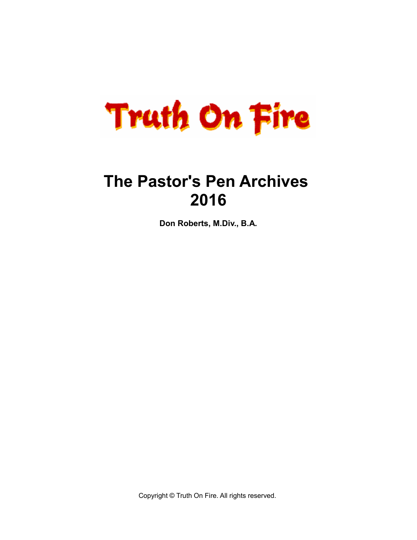

# **The Pastor's Pen Archives 2016**

**Don Roberts, M.Div., B.A.**

Copyright © Truth On Fire. All rights reserved.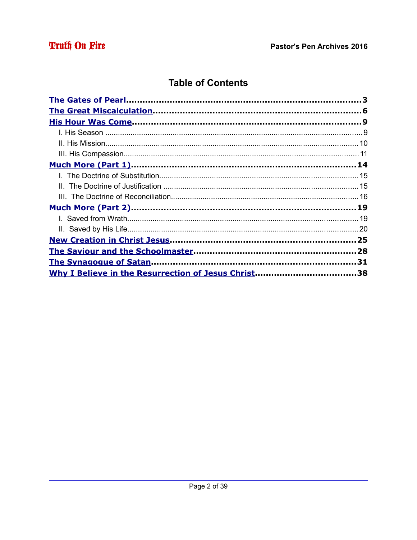# **Table of Contents**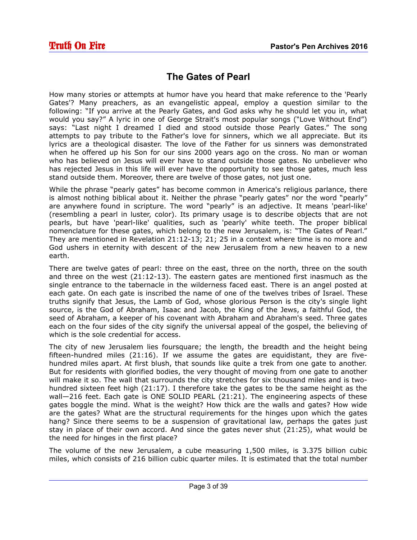# <span id="page-2-0"></span>**The Gates of Pearl**

How many stories or attempts at humor have you heard that make reference to the 'Pearly Gates'? Many preachers, as an evangelistic appeal, employ a question similar to the following: "If you arrive at the Pearly Gates, and God asks why he should let you in, what would you say?" A lyric in one of George Strait's most popular songs ("Love Without End") says: "Last night I dreamed I died and stood outside those Pearly Gates." The song attempts to pay tribute to the Father's love for sinners, which we all appreciate. But its lyrics are a theological disaster. The love of the Father for us sinners was demonstrated when he offered up his Son for our sins 2000 years ago on the cross. No man or woman who has believed on Jesus will ever have to stand outside those gates. No unbeliever who has rejected Jesus in this life will ever have the opportunity to see those gates, much less stand outside them. Moreover, there are twelve of those gates, not just one.

While the phrase "pearly gates" has become common in America's religious parlance, there is almost nothing biblical about it. Neither the phrase "pearly gates" nor the word "pearly" are anywhere found in scripture. The word "pearly" is an adjective. It means 'pearl-like' (resembling a pearl in luster, color). Its primary usage is to describe objects that are not pearls, but have 'pearl-like' qualities, such as 'pearly' white teeth. The proper biblical nomenclature for these gates, which belong to the new Jerusalem, is: "The Gates of Pearl." They are mentioned in Revelation 21:12-13; 21; 25 in a context where time is no more and God ushers in eternity with descent of the new Jerusalem from a new heaven to a new earth.

There are twelve gates of pearl: three on the east, three on the north, three on the south and three on the west (21:12-13). The eastern gates are mentioned first inasmuch as the single entrance to the tabernacle in the wilderness faced east. There is an angel posted at each gate. On each gate is inscribed the name of one of the twelves tribes of Israel. These truths signify that Jesus, the Lamb of God, whose glorious Person is the city's single light source, is the God of Abraham, Isaac and Jacob, the King of the Jews, a faithful God, the seed of Abraham, a keeper of his covenant with Abraham and Abraham's seed. Three gates each on the four sides of the city signify the universal appeal of the gospel, the believing of which is the sole credential for access.

The city of new Jerusalem lies foursquare; the length, the breadth and the height being fifteen-hundred miles (21:16). If we assume the gates are equidistant, they are fivehundred miles apart. At first blush, that sounds like quite a trek from one gate to another. But for residents with glorified bodies, the very thought of moving from one gate to another will make it so. The wall that surrounds the city stretches for six thousand miles and is twohundred sixteen feet high (21:17). I therefore take the gates to be the same height as the wall—216 feet. Each gate is ONE SOLID PEARL (21:21). The engineering aspects of these gates boggle the mind. What is the weight? How thick are the walls and gates? How wide are the gates? What are the structural requirements for the hinges upon which the gates hang? Since there seems to be a suspension of gravitational law, perhaps the gates just stay in place of their own accord. And since the gates never shut (21:25), what would be the need for hinges in the first place?

The volume of the new Jerusalem, a cube measuring 1,500 miles, is 3.375 billion cubic miles, which consists of 216 billion cubic quarter miles. It is estimated that the total number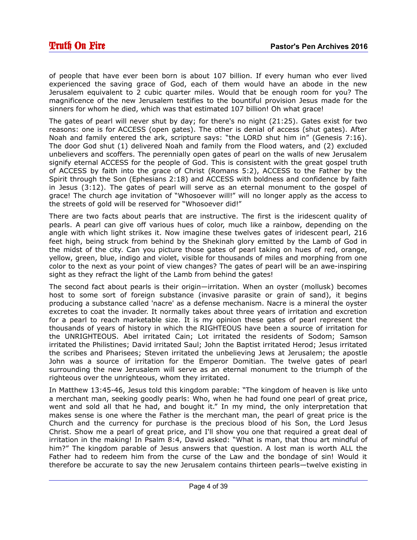of people that have ever been born is about 107 billion. If every human who ever lived experienced the saving grace of God, each of them would have an abode in the new Jerusalem equivalent to 2 cubic quarter miles. Would that be enough room for you? The magnificence of the new Jerusalem testifies to the bountiful provision Jesus made for the sinners for whom he died, which was that estimated 107 billion! Oh what grace!

The gates of pearl will never shut by day; for there's no night (21:25). Gates exist for two reasons: one is for ACCESS (open gates). The other is denial of access (shut gates). After Noah and family entered the ark, scripture says: "the LORD shut him in" (Genesis 7:16). The door God shut (1) delivered Noah and family from the Flood waters, and (2) excluded unbelievers and scoffers. The perennially open gates of pearl on the walls of new Jerusalem signify eternal ACCESS for the people of God. This is consistent with the great gospel truth of ACCESS by faith into the grace of Christ (Romans 5:2), ACCESS to the Father by the Spirit through the Son (Ephesians 2:18) and ACCESS with boldness and confidence by faith in Jesus (3:12). The gates of pearl will serve as an eternal monument to the gospel of grace! The church age invitation of "Whosoever will!" will no longer apply as the access to the streets of gold will be reserved for "Whosoever did!"

There are two facts about pearls that are instructive. The first is the iridescent quality of pearls. A pearl can give off various hues of color, much like a rainbow, depending on the angle with which light strikes it. Now imagine these twelves gates of iridescent pearl, 216 feet high, being struck from behind by the Shekinah glory emitted by the Lamb of God in the midst of the city. Can you picture those gates of pearl taking on hues of red, orange, yellow, green, blue, indigo and violet, visible for thousands of miles and morphing from one color to the next as your point of view changes? The gates of pearl will be an awe-inspiring sight as they refract the light of the Lamb from behind the gates!

The second fact about pearls is their origin—irritation. When an oyster (mollusk) becomes host to some sort of foreign substance (invasive parasite or grain of sand), it begins producing a substance called 'nacre' as a defense mechanism. Nacre is a mineral the oyster excretes to coat the invader. It normally takes about three years of irritation and excretion for a pearl to reach marketable size. It is my opinion these gates of pearl represent the thousands of years of history in which the RIGHTEOUS have been a source of irritation for the UNRIGHTEOUS. Abel irritated Cain; Lot irritated the residents of Sodom; Samson irritated the Philistines; David irritated Saul; John the Baptist irritated Herod; Jesus irritated the scribes and Pharisees; Steven irritated the unbelieving Jews at Jerusalem; the apostle John was a source of irritation for the Emperor Domitian. The twelve gates of pearl surrounding the new Jerusalem will serve as an eternal monument to the triumph of the righteous over the unrighteous, whom they irritated.

In Matthew 13:45-46, Jesus told this kingdom parable: "The kingdom of heaven is like unto a merchant man, seeking goodly pearls: Who, when he had found one pearl of great price, went and sold all that he had, and bought it." In my mind, the only interpretation that makes sense is one where the Father is the merchant man, the pearl of great price is the Church and the currency for purchase is the precious blood of his Son, the Lord Jesus Christ. Show me a pearl of great price, and I'll show you one that required a great deal of irritation in the making! In Psalm 8:4, David asked: "What is man, that thou art mindful of him?" The kingdom parable of Jesus answers that question. A lost man is worth ALL the Father had to redeem him from the curse of the Law and the bondage of sin! Would it therefore be accurate to say the new Jerusalem contains thirteen pearls—twelve existing in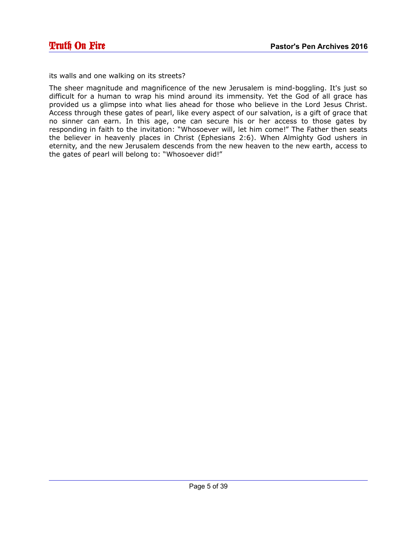its walls and one walking on its streets?

The sheer magnitude and magnificence of the new Jerusalem is mind-boggling. It's just so difficult for a human to wrap his mind around its immensity. Yet the God of all grace has provided us a glimpse into what lies ahead for those who believe in the Lord Jesus Christ. Access through these gates of pearl, like every aspect of our salvation, is a gift of grace that no sinner can earn. In this age, one can secure his or her access to those gates by responding in faith to the invitation: "Whosoever will, let him come!" The Father then seats the believer in heavenly places in Christ (Ephesians 2:6). When Almighty God ushers in eternity, and the new Jerusalem descends from the new heaven to the new earth, access to the gates of pearl will belong to: "Whosoever did!"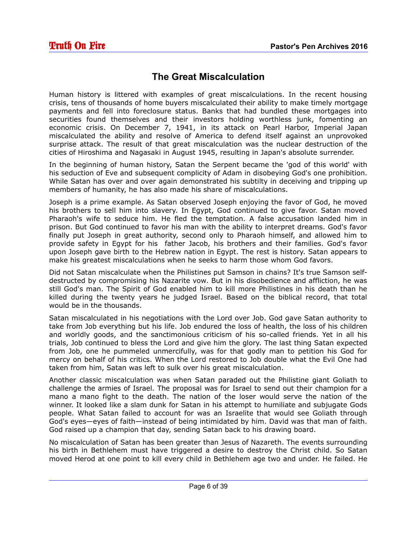## <span id="page-5-0"></span>**The Great Miscalculation**

Human history is littered with examples of great miscalculations. In the recent housing crisis, tens of thousands of home buyers miscalculated their ability to make timely mortgage payments and fell into foreclosure status. Banks that had bundled these mortgages into securities found themselves and their investors holding worthless junk, fomenting an economic crisis. On December 7, 1941, in its attack on Pearl Harbor, Imperial Japan miscalculated the ability and resolve of America to defend itself against an unprovoked surprise attack. The result of that great miscalculation was the nuclear destruction of the cities of Hiroshima and Nagasaki in August 1945, resulting in Japan's absolute surrender.

In the beginning of human history, Satan the Serpent became the 'god of this world' with his seduction of Eve and subsequent complicity of Adam in disobeying God's one prohibition. While Satan has over and over again demonstrated his subtilty in deceiving and tripping up members of humanity, he has also made his share of miscalculations.

Joseph is a prime example. As Satan observed Joseph enjoying the favor of God, he moved his brothers to sell him into slavery. In Egypt, God continued to give favor. Satan moved Pharaoh's wife to seduce him. He fled the temptation. A false accusation landed him in prison. But God continued to favor his man with the ability to interpret dreams. God's favor finally put Joseph in great authority, second only to Pharaoh himself, and allowed him to provide safety in Egypt for his father Jacob, his brothers and their families. God's favor upon Joseph gave birth to the Hebrew nation in Egypt. The rest is history. Satan appears to make his greatest miscalculations when he seeks to harm those whom God favors.

Did not Satan miscalculate when the Philistines put Samson in chains? It's true Samson selfdestructed by compromising his Nazarite vow. But in his disobedience and affliction, he was still God's man. The Spirit of God enabled him to kill more Philistines in his death than he killed during the twenty years he judged Israel. Based on the biblical record, that total would be in the thousands.

Satan miscalculated in his negotiations with the Lord over Job. God gave Satan authority to take from Job everything but his life. Job endured the loss of health, the loss of his children and worldly goods, and the sanctimonious criticism of his so-called friends. Yet in all his trials, Job continued to bless the Lord and give him the glory. The last thing Satan expected from Job, one he pummeled unmercifully, was for that godly man to petition his God for mercy on behalf of his critics. When the Lord restored to Job double what the Evil One had taken from him, Satan was left to sulk over his great miscalculation.

Another classic miscalculation was when Satan paraded out the Philistine giant Goliath to challenge the armies of Israel. The proposal was for Israel to send out their champion for a mano a mano fight to the death. The nation of the loser would serve the nation of the winner. It looked like a slam dunk for Satan in his attempt to humiliate and subjugate Gods people. What Satan failed to account for was an Israelite that would see Goliath through God's eyes—eyes of faith—instead of being intimidated by him. David was that man of faith. God raised up a champion that day, sending Satan back to his drawing board.

No miscalculation of Satan has been greater than Jesus of Nazareth. The events surrounding his birth in Bethlehem must have triggered a desire to destroy the Christ child. So Satan moved Herod at one point to kill every child in Bethlehem age two and under. He failed. He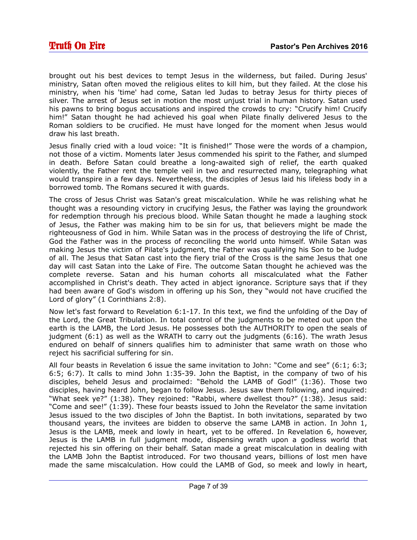brought out his best devices to tempt Jesus in the wilderness, but failed. During Jesus' ministry, Satan often moved the religious elites to kill him, but they failed. At the close his ministry, when his 'time' had come, Satan led Judas to betray Jesus for thirty pieces of silver. The arrest of Jesus set in motion the most unjust trial in human history. Satan used his pawns to bring bogus accusations and inspired the crowds to cry: "Crucify him! Crucify him!" Satan thought he had achieved his goal when Pilate finally delivered Jesus to the Roman soldiers to be crucified. He must have longed for the moment when Jesus would draw his last breath.

Jesus finally cried with a loud voice: "It is finished!" Those were the words of a champion, not those of a victim. Moments later Jesus commended his spirit to the Father, and slumped in death. Before Satan could breathe a long-awaited sigh of relief, the earth quaked violently, the Father rent the temple veil in two and resurrected many, telegraphing what would transpire in a few days. Nevertheless, the disciples of Jesus laid his lifeless body in a borrowed tomb. The Romans secured it with guards.

The cross of Jesus Christ was Satan's great miscalculation. While he was relishing what he thought was a resounding victory in crucifying Jesus, the Father was laying the groundwork for redemption through his precious blood. While Satan thought he made a laughing stock of Jesus, the Father was making him to be sin for us, that believers might be made the righteousness of God in him. While Satan was in the process of destroying the life of Christ, God the Father was in the process of reconciling the world unto himself. While Satan was making Jesus the victim of Pilate's judgment, the Father was qualifying his Son to be Judge of all. The Jesus that Satan cast into the fiery trial of the Cross is the same Jesus that one day will cast Satan into the Lake of Fire. The outcome Satan thought he achieved was the complete reverse. Satan and his human cohorts all miscalculated what the Father accomplished in Christ's death. They acted in abject ignorance. Scripture says that if they had been aware of God's wisdom in offering up his Son, they "would not have crucified the Lord of glory" (1 Corinthians 2:8).

Now let's fast forward to Revelation 6:1-17. In this text, we find the unfolding of the Day of the Lord, the Great Tribulation. In total control of the judgments to be meted out upon the earth is the LAMB, the Lord Jesus. He possesses both the AUTHORITY to open the seals of judgment (6:1) as well as the WRATH to carry out the judgments (6:16). The wrath Jesus endured on behalf of sinners qualifies him to administer that same wrath on those who reject his sacrificial suffering for sin.

All four beasts in Revelation 6 issue the same invitation to John: "Come and see" (6:1; 6:3; 6:5; 6:7). It calls to mind John 1:35-39. John the Baptist, in the company of two of his disciples, beheld Jesus and proclaimed: "Behold the LAMB of God!" (1:36). Those two disciples, having heard John, began to follow Jesus. Jesus saw them following, and inquired: "What seek ye?" (1:38). They rejoined: "Rabbi, where dwellest thou?" (1:38). Jesus said: "Come and see!" (1:39). These four beasts issued to John the Revelator the same invitation Jesus issued to the two disciples of John the Baptist. In both invitations, separated by two thousand years, the invitees are bidden to observe the same LAMB in action. In John 1, Jesus is the LAMB, meek and lowly in heart, yet to be offered. In Revelation 6, however, Jesus is the LAMB in full judgment mode, dispensing wrath upon a godless world that rejected his sin offering on their behalf. Satan made a great miscalculation in dealing with the LAMB John the Baptist introduced. For two thousand years, billions of lost men have made the same miscalculation. How could the LAMB of God, so meek and lowly in heart,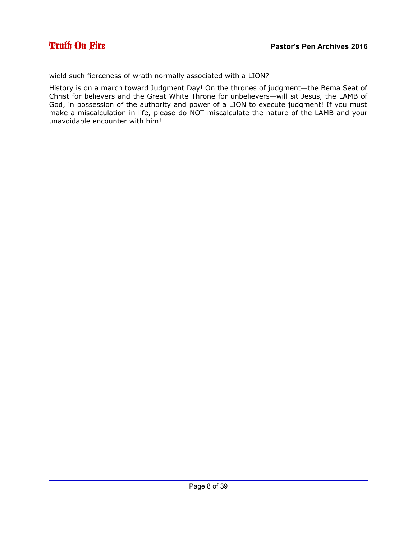wield such fierceness of wrath normally associated with a LION?

History is on a march toward Judgment Day! On the thrones of judgment—the Bema Seat of Christ for believers and the Great White Throne for unbelievers—will sit Jesus, the LAMB of God, in possession of the authority and power of a LION to execute judgment! If you must make a miscalculation in life, please do NOT miscalculate the nature of the LAMB and your unavoidable encounter with him!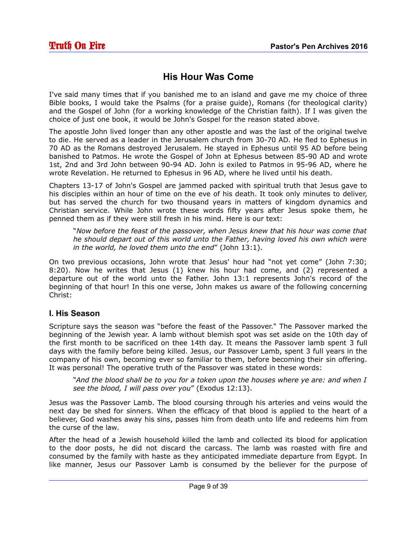## <span id="page-8-0"></span>**His Hour Was Come**

I've said many times that if you banished me to an island and gave me my choice of three Bible books, I would take the Psalms (for a praise guide), Romans (for theological clarity) and the Gospel of John (for a working knowledge of the Christian faith). If I was given the choice of just one book, it would be John's Gospel for the reason stated above.

The apostle John lived longer than any other apostle and was the last of the original twelve to die. He served as a leader in the Jerusalem church from 30-70 AD. He fled to Ephesus in 70 AD as the Romans destroyed Jerusalem. He stayed in Ephesus until 95 AD before being banished to Patmos. He wrote the Gospel of John at Ephesus between 85-90 AD and wrote 1st, 2nd and 3rd John between 90-94 AD. John is exiled to Patmos in 95-96 AD, where he wrote Revelation. He returned to Ephesus in 96 AD, where he lived until his death.

Chapters 13-17 of John's Gospel are jammed packed with spiritual truth that Jesus gave to his disciples within an hour of time on the eve of his death. It took only minutes to deliver, but has served the church for two thousand years in matters of kingdom dynamics and Christian service. While John wrote these words fifty years after Jesus spoke them, he penned them as if they were still fresh in his mind. Here is our text:

"*Now before the feast of the passover, when Jesus knew that his hour was come that he should depart out of this world unto the Father, having loved his own which were in the world, he loved them unto the end*" (John 13:1).

On two previous occasions, John wrote that Jesus' hour had "not yet come" (John 7:30; 8:20). Now he writes that Jesus (1) knew his hour had come, and (2) represented a departure out of the world unto the Father. John 13:1 represents John's record of the beginning of that hour! In this one verse, John makes us aware of the following concerning Christ:

## **I. His Season**

Scripture says the season was "before the feast of the Passover." The Passover marked the beginning of the Jewish year. A lamb without blemish spot was set aside on the 10th day of the first month to be sacrificed on thee 14th day. It means the Passover lamb spent 3 full days with the family before being killed. Jesus, our Passover Lamb, spent 3 full years in the company of his own, becoming ever so familiar to them, before becoming their sin offering. It was personal! The operative truth of the Passover was stated in these words:

"*And the blood shall be to you for a token upon the houses where ye are: and when I see the blood, I will pass over you*" (Exodus 12:13).

Jesus was the Passover Lamb. The blood coursing through his arteries and veins would the next day be shed for sinners. When the efficacy of that blood is applied to the heart of a believer, God washes away his sins, passes him from death unto life and redeems him from the curse of the law.

After the head of a Jewish household killed the lamb and collected its blood for application to the door posts, he did not discard the carcass. The lamb was roasted with fire and consumed by the family with haste as they anticipated immediate departure from Egypt. In like manner, Jesus our Passover Lamb is consumed by the believer for the purpose of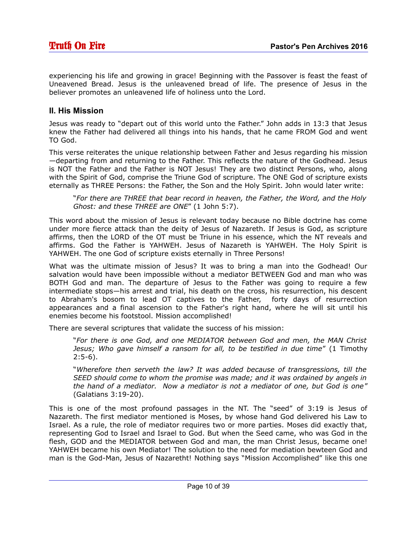experiencing his life and growing in grace! Beginning with the Passover is feast the feast of Uneavened Bread. Jesus is the unleavened bread of life. The presence of Jesus in the believer promotes an unleavened life of holiness unto the Lord.

#### **II. His Mission**

Jesus was ready to "depart out of this world unto the Father." John adds in 13:3 that Jesus knew the Father had delivered all things into his hands, that he came FROM God and went TO God.

This verse reiterates the unique relationship between Father and Jesus regarding his mission —departing from and returning to the Father. This reflects the nature of the Godhead. Jesus is NOT the Father and the Father is NOT Jesus! They are two distinct Persons, who, along with the Spirit of God, comprise the Triune God of scripture. The ONE God of scripture exists eternally as THREE Persons: the Father, the Son and the Holy Spirit. John would later write:

"*For there are THREE that bear record in heaven, the Father, the Word, and the Holy Ghost: and these THREE are ONE*" (1 John 5:7).

This word about the mission of Jesus is relevant today because no Bible doctrine has come under more fierce attack than the deity of Jesus of Nazareth. If Jesus is God, as scripture affirms, then the LORD of the OT must be Triune in his essence, which the NT reveals and affirms. God the Father is YAHWEH. Jesus of Nazareth is YAHWEH. The Holy Spirit is YAHWEH. The one God of scripture exists eternally in Three Persons!

What was the ultimate mission of Jesus? It was to bring a man into the Godhead! Our salvation would have been impossible without a mediator BETWEEN God and man who was BOTH God and man. The departure of Jesus to the Father was going to require a few intermediate stops—his arrest and trial, his death on the cross, his resurrection, his descent to Abraham's bosom to lead OT captives to the Father, forty days of resurrection appearances and a final ascension to the Father's right hand, where he will sit until his enemies become his footstool. Mission accomplished!

There are several scriptures that validate the success of his mission:

"*For there is one God, and one MEDIATOR between God and men, the MAN Christ Jesus; Who gave himself a ransom for all, to be testified in due time*" (1 Timothy  $2:5-6$ ).

"*Wherefore then serveth the law? It was added because of transgressions, till the SEED should come to whom the promise was made; and it was ordained by angels in the hand of a mediator. Now a mediator is not a mediator of one, but God is one*" (Galatians 3:19-20).

This is one of the most profound passages in the NT. The "seed" of 3:19 is Jesus of Nazareth. The first mediator mentioned is Moses, by whose hand God delivered his Law to Israel. As a rule, the role of mediator requires two or more parties. Moses did exactly that, representing God to Israel and Israel to God. But when the Seed came, who was God in the flesh, GOD and the MEDIATOR between God and man, the man Christ Jesus, became one! YAHWEH became his own Mediator! The solution to the need for mediation bewteen God and man is the God-Man, Jesus of Nazaretht! Nothing says "Mission Accomplished" like this one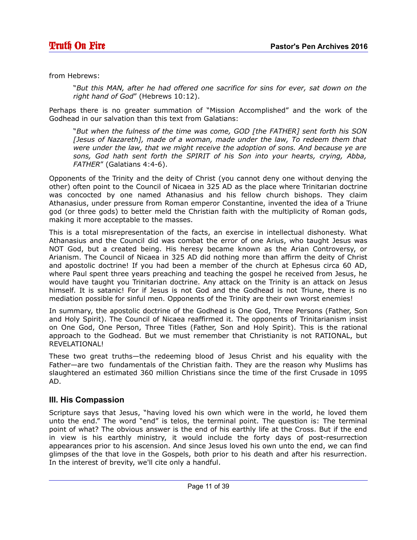from Hebrews:

"*But this MAN, after he had offered one sacrifice for sins for ever, sat down on the right hand of God*" (Hebrews 10:12).

Perhaps there is no greater summation of "Mission Accomplished" and the work of the Godhead in our salvation than this text from Galatians:

"*But when the fulness of the time was come, GOD [the FATHER] sent forth his SON [Jesus of Nazareth], made of a woman, made under the law, To redeem them that were under the law, that we might receive the adoption of sons. And because ye are sons, God hath sent forth the SPIRIT of his Son into your hearts, crying, Abba, FATHER*" (Galatians 4:4-6).

Opponents of the Trinity and the deity of Christ (you cannot deny one without denying the other) often point to the Council of Nicaea in 325 AD as the place where Trinitarian doctrine was concocted by one named Athanasius and his fellow church bishops. They claim Athanasius, under pressure from Roman emperor Constantine, invented the idea of a Triune god (or three gods) to better meld the Christian faith with the multiplicity of Roman gods, making it more acceptable to the masses.

This is a total misrepresentation of the facts, an exercise in intellectual dishonesty. What Athanasius and the Council did was combat the error of one Arius, who taught Jesus was NOT God, but a created being. His heresy became known as the Arian Controversy, or Arianism. The Council of Nicaea in 325 AD did nothing more than affirm the deity of Christ and apostolic doctrine! If you had been a member of the church at Ephesus circa 60 AD, where Paul spent three years preaching and teaching the gospel he received from Jesus, he would have taught you Trinitarian doctrine. Any attack on the Trinity is an attack on Jesus himself. It is satanic! For if Jesus is not God and the Godhead is not Triune, there is no mediation possible for sinful men. Opponents of the Trinity are their own worst enemies!

In summary, the apostolic doctrine of the Godhead is One God, Three Persons (Father, Son and Holy Spirit). The Council of Nicaea reaffirmed it. The opponents of Trinitarianism insist on One God, One Person, Three Titles (Father, Son and Holy Spirit). This is the rational approach to the Godhead. But we must remember that Christianity is not RATIONAL, but REVELATIONAL!

These two great truths—the redeeming blood of Jesus Christ and his equality with the Father—are two fundamentals of the Christian faith. They are the reason why Muslims has slaughtered an estimated 360 million Christians since the time of the first Crusade in 1095 AD.

#### **III. His Compassion**

Scripture says that Jesus, "having loved his own which were in the world, he loved them unto the end." The word "end" is telos, the terminal point. The question is: The terminal point of what? The obvious answer is the end of his earthly life at the Cross. But if the end in view is his earthly ministry, it would include the forty days of post-resurrection appearances prior to his ascension. And since Jesus loved his own unto the end, we can find glimpses of the that love in the Gospels, both prior to his death and after his resurrection. In the interest of brevity, we'll cite only a handful.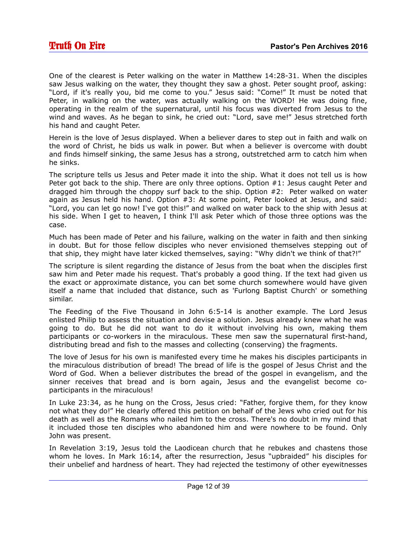One of the clearest is Peter walking on the water in Matthew 14:28-31. When the disciples saw Jesus walking on the water, they thought they saw a ghost. Peter sought proof, asking: "Lord, if it's really you, bid me come to you." Jesus said: "Come!" It must be noted that Peter, in walking on the water, was actually walking on the WORD! He was doing fine, operating in the realm of the supernatural, until his focus was diverted from Jesus to the wind and waves. As he began to sink, he cried out: "Lord, save me!" Jesus stretched forth his hand and caught Peter.

Herein is the love of Jesus displayed. When a believer dares to step out in faith and walk on the word of Christ, he bids us walk in power. But when a believer is overcome with doubt and finds himself sinking, the same Jesus has a strong, outstretched arm to catch him when he sinks.

The scripture tells us Jesus and Peter made it into the ship. What it does not tell us is how Peter got back to the ship. There are only three options. Option #1: Jesus caught Peter and dragged him through the choppy surf back to the ship. Option #2: Peter walked on water again as Jesus held his hand. Option #3: At some point, Peter looked at Jesus, and said: "Lord, you can let go now! I've got this!" and walked on water back to the ship with Jesus at his side. When I get to heaven, I think I'll ask Peter which of those three options was the case.

Much has been made of Peter and his failure, walking on the water in faith and then sinking in doubt. But for those fellow disciples who never envisioned themselves stepping out of that ship, they might have later kicked themselves, saying: "Why didn't we think of that?!"

The scripture is silent regarding the distance of Jesus from the boat when the disciples first saw him and Peter made his request. That's probably a good thing. If the text had given us the exact or approximate distance, you can bet some church somewhere would have given itself a name that included that distance, such as 'Furlong Baptist Church' or something similar.

The Feeding of the Five Thousand in John 6:5-14 is another example. The Lord Jesus enlisted Philip to assess the situation and devise a solution. Jesus already knew what he was going to do. But he did not want to do it without involving his own, making them participants or co-workers in the miraculous. These men saw the supernatural first-hand, distributing bread and fish to the masses and collecting (conserving) the fragments.

The love of Jesus for his own is manifested every time he makes his disciples participants in the miraculous distribution of bread! The bread of life is the gospel of Jesus Christ and the Word of God. When a believer distributes the bread of the gospel in evangelism, and the sinner receives that bread and is born again, Jesus and the evangelist become coparticipants in the miraculous!

In Luke 23:34, as he hung on the Cross, Jesus cried: "Father, forgive them, for they know not what they do!" He clearly offered this petition on behalf of the Jews who cried out for his death as well as the Romans who nailed him to the cross. There's no doubt in my mind that it included those ten disciples who abandoned him and were nowhere to be found. Only John was present.

In Revelation 3:19, Jesus told the Laodicean church that he rebukes and chastens those whom he loves. In Mark 16:14, after the resurrection, Jesus "upbraided" his disciples for their unbelief and hardness of heart. They had rejected the testimony of other eyewitnesses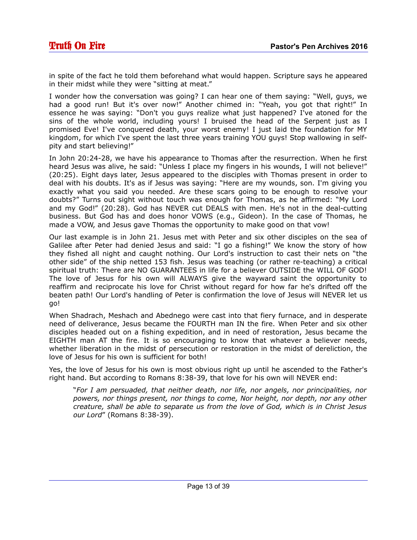in spite of the fact he told them beforehand what would happen. Scripture says he appeared in their midst while they were "sitting at meat."

I wonder how the conversation was going? I can hear one of them saying: "Well, guys, we had a good run! But it's over now!" Another chimed in: "Yeah, you got that right!" In essence he was saying: "Don't you guys realize what just happened? I've atoned for the sins of the whole world, including yours! I bruised the head of the Serpent just as I promised Eve! I've conquered death, your worst enemy! I just laid the foundation for MY kingdom, for which I've spent the last three years training YOU guys! Stop wallowing in selfpity and start believing!"

In John 20:24-28, we have his appearance to Thomas after the resurrection. When he first heard Jesus was alive, he said: "Unless I place my fingers in his wounds, I will not believe!" (20:25). Eight days later, Jesus appeared to the disciples with Thomas present in order to deal with his doubts. It's as if Jesus was saying: "Here are my wounds, son. I'm giving you exactly what you said you needed. Are these scars going to be enough to resolve your doubts?" Turns out sight without touch was enough for Thomas, as he affirmed: "My Lord and my God!" (20:28). God has NEVER cut DEALS with men. He's not in the deal-cutting business. But God has and does honor VOWS (e.g., Gideon). In the case of Thomas, he made a VOW, and Jesus gave Thomas the opportunity to make good on that vow!

Our last example is in John 21. Jesus met with Peter and six other disciples on the sea of Galilee after Peter had denied Jesus and said: "I go a fishing!" We know the story of how they fished all night and caught nothing. Our Lord's instruction to cast their nets on "the other side" of the ship netted 153 fish. Jesus was teaching (or rather re-teaching) a critical spiritual truth: There are NO GUARANTEES in life for a believer OUTSIDE the WILL OF GOD! The love of Jesus for his own will ALWAYS give the wayward saint the opportunity to reaffirm and reciprocate his love for Christ without regard for how far he's drifted off the beaten path! Our Lord's handling of Peter is confirmation the love of Jesus will NEVER let us go!

When Shadrach, Meshach and Abednego were cast into that fiery furnace, and in desperate need of deliverance, Jesus became the FOURTH man IN the fire. When Peter and six other disciples headed out on a fishing expedition, and in need of restoration, Jesus became the EIGHTH man AT the fire. It is so encouraging to know that whatever a believer needs, whether liberation in the midst of persecution or restoration in the midst of dereliction, the love of Jesus for his own is sufficient for both!

Yes, the love of Jesus for his own is most obvious right up until he ascended to the Father's right hand. But according to Romans 8:38-39, that love for his own will NEVER end:

"*For I am persuaded, that neither death, nor life, nor angels, nor principalities, nor powers, nor things present, nor things to come, Nor height, nor depth, nor any other creature, shall be able to separate us from the love of God, which is in Christ Jesus our Lord*" (Romans 8:38-39).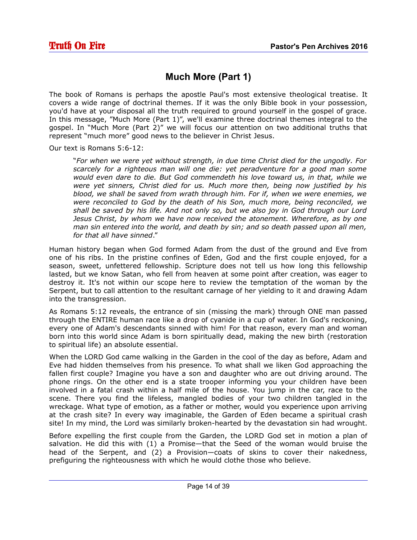## <span id="page-13-0"></span>**Much More (Part 1)**

The book of Romans is perhaps the apostle Paul's most extensive theological treatise. It covers a wide range of doctrinal themes. If it was the only Bible book in your possession, you'd have at your disposal all the truth required to ground yourself in the gospel of grace. In this message, "Much More (Part 1)", we'll examine three doctrinal themes integral to the gospel. In "Much More (Part 2)" we will focus our attention on two additional truths that represent "much more" good news to the believer in Christ Jesus.

Our text is Romans 5:6-12:

"*For when we were yet without strength, in due time Christ died for the ungodly. For scarcely for a righteous man will one die: yet peradventure for a good man some would even dare to die. But God commendeth his love toward us, in that, while we were yet sinners, Christ died for us. Much more then, being now justified by his blood, we shall be saved from wrath through him. For if, when we were enemies, we were reconciled to God by the death of his Son, much more, being reconciled, we shall be saved by his life. And not only so, but we also joy in God through our Lord Jesus Christ, by whom we have now received the atonement. Wherefore, as by one man sin entered into the world, and death by sin; and so death passed upon all men, for that all have sinned*."

Human history began when God formed Adam from the dust of the ground and Eve from one of his ribs. In the pristine confines of Eden, God and the first couple enjoyed, for a season, sweet, unfettered fellowship. Scripture does not tell us how long this fellowship lasted, but we know Satan, who fell from heaven at some point after creation, was eager to destroy it. It's not within our scope here to review the temptation of the woman by the Serpent, but to call attention to the resultant carnage of her yielding to it and drawing Adam into the transgression.

As Romans 5:12 reveals, the entrance of sin (missing the mark) through ONE man passed through the ENTIRE human race like a drop of cyanide in a cup of water. In God's reckoning, every one of Adam's descendants sinned with him! For that reason, every man and woman born into this world since Adam is born spiritually dead, making the new birth (restoration to spiritual life) an absolute essential.

When the LORD God came walking in the Garden in the cool of the day as before, Adam and Eve had hidden themselves from his presence. To what shall we liken God approaching the fallen first couple? Imagine you have a son and daughter who are out driving around. The phone rings. On the other end is a state trooper informing you your children have been involved in a fatal crash within a half mile of the house. You jump in the car, race to the scene. There you find the lifeless, mangled bodies of your two children tangled in the wreckage. What type of emotion, as a father or mother, would you experience upon arriving at the crash site? In every way imaginable, the Garden of Eden became a spiritual crash site! In my mind, the Lord was similarly broken-hearted by the devastation sin had wrought.

Before expelling the first couple from the Garden, the LORD God set in motion a plan of salvation. He did this with (1) a Promise—that the Seed of the woman would bruise the head of the Serpent, and (2) a Provision—coats of skins to cover their nakedness, prefiguring the righteousness with which he would clothe those who believe.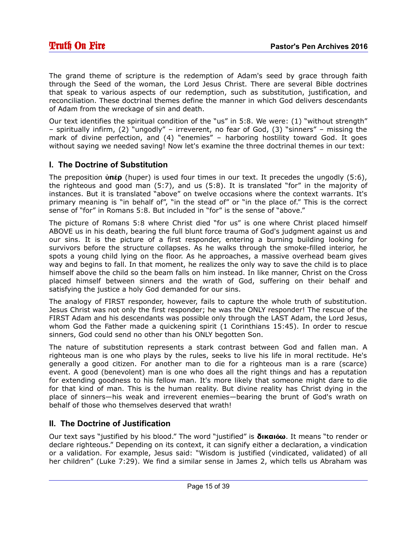The grand theme of scripture is the redemption of Adam's seed by grace through faith through the Seed of the woman, the Lord Jesus Christ. There are several Bible doctrines that speak to various aspects of our redemption, such as substitution, justification, and reconciliation. These doctrinal themes define the manner in which God delivers descendants of Adam from the wreckage of sin and death.

Our text identifies the spiritual condition of the "us" in 5:8. We were: (1) "without strength" – spiritually infirm, (2) "ungodly" – irreverent, no fear of God, (3) "sinners" – missing the mark of divine perfection, and (4) "enemies" – harboring hostility toward God. It goes without saying we needed saving! Now let's examine the three doctrinal themes in our text:

## **I. The Doctrine of Substitution**

The preposition **ὑπέρ** (huper) is used four times in our text. It precedes the ungodly (5:6), the righteous and good man (5:7), and us (5:8). It is translated "for" in the majority of instances. But it is translated "above" on twelve occasions where the context warrants. It's primary meaning is "in behalf of", "in the stead of" or "in the place of." This is the correct sense of "for" in Romans 5:8. But included in "for" is the sense of "above."

The picture of Romans 5:8 where Christ died "for us" is one where Christ placed himself ABOVE us in his death, bearing the full blunt force trauma of God's judgment against us and our sins. It is the picture of a first responder, entering a burning building looking for survivors before the structure collapses. As he walks through the smoke-filled interior, he spots a young child lying on the floor. As he approaches, a massive overhead beam gives way and begins to fall. In that moment, he realizes the only way to save the child is to place himself above the child so the beam falls on him instead. In like manner, Christ on the Cross placed himself between sinners and the wrath of God, suffering on their behalf and satisfying the justice a holy God demanded for our sins.

The analogy of FIRST responder, however, fails to capture the whole truth of substitution. Jesus Christ was not only the first responder; he was the ONLY responder! The rescue of the FIRST Adam and his descendants was possible only through the LAST Adam, the Lord Jesus, whom God the Father made a quickening spirit (1 Corinthians 15:45). In order to rescue sinners, God could send no other than his ONLY begotten Son.

The nature of substitution represents a stark contrast between God and fallen man. A righteous man is one who plays by the rules, seeks to live his life in moral rectitude. He's generally a good citizen. For another man to die for a righteous man is a rare (scarce) event. A good (benevolent) man is one who does all the right things and has a reputation for extending goodness to his fellow man. It's more likely that someone might dare to die for that kind of man. This is the human reality. But divine reality has Christ dying in the place of sinners—his weak and irreverent enemies—bearing the brunt of God's wrath on behalf of those who themselves deserved that wrath!

## **II. The Doctrine of Justification**

Our text says "justified by his blood." The word "justified" is **δικαι ωό** . It means "to render or declare righteous." Depending on its context, it can signify either a declaration, a vindication or a validation. For example, Jesus said: "Wisdom is justified (vindicated, validated) of all her children" (Luke 7:29). We find a similar sense in James 2, which tells us Abraham was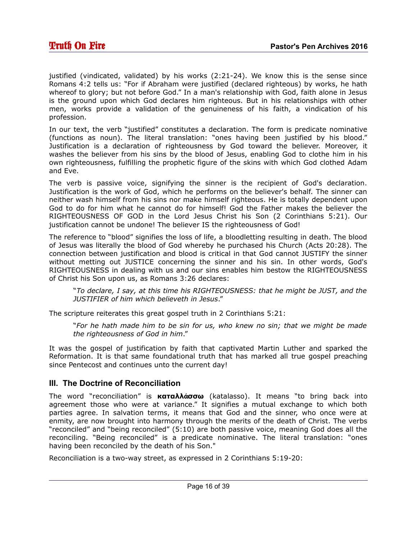justified (vindicated, validated) by his works (2:21-24). We know this is the sense since Romans 4:2 tells us: "For if Abraham were justified (declared righteous) by works, he hath whereof to glory; but not before God." In a man's relationship with God, faith alone in Jesus is the ground upon which God declares him righteous. But in his relationships with other men, works provide a validation of the genuineness of his faith, a vindication of his profession.

In our text, the verb "justified" constitutes a declaration. The form is predicate nominative (functions as noun). The literal translation: "ones having been justified by his blood." Justification is a declaration of righteousness by God toward the believer. Moreover, it washes the believer from his sins by the blood of Jesus, enabling God to clothe him in his own righteousness, fulfilling the prophetic figure of the skins with which God clothed Adam and Eve.

The verb is passive voice, signifying the sinner is the recipient of God's declaration. Justification is the work of God, which he performs on the believer's behalf. The sinner can neither wash himself from his sins nor make himself righteous. He is totally dependent upon God to do for him what he cannot do for himself! God the Father makes the believer the RIGHTEOUSNESS OF GOD in the Lord Jesus Christ his Son (2 Corinthians 5:21). Our justification cannot be undone! The believer IS the righteousness of God!

The reference to "blood" signifies the loss of life, a bloodletting resulting in death. The blood of Jesus was literally the blood of God whereby he purchased his Church (Acts 20:28). The connection between justification and blood is critical in that God cannot JUSTIFY the sinner without metting out JUSTICE concerning the sinner and his sin. In other words, God's RIGHTEOUSNESS in dealing with us and our sins enables him bestow the RIGHTEOUSNESS of Christ his Son upon us, as Romans 3:26 declares:

"*To declare, I say, at this time his RIGHTEOUSNESS: that he might be JUST, and the JUSTIFIER of him which believeth in Jesus*."

The scripture reiterates this great gospel truth in 2 Corinthians 5:21:

"*For he hath made him to be sin for us, who knew no sin; that we might be made the righteousness of God in him*."

It was the gospel of justification by faith that captivated Martin Luther and sparked the Reformation. It is that same foundational truth that has marked all true gospel preaching since Pentecost and continues unto the current day!

#### **III. The Doctrine of Reconciliation**

The word "reconciliation" is **καταλλάσσω** (katalasso). It means "to bring back into agreement those who were at variance." It signifies a mutual exchange to which both parties agree. In salvation terms, it means that God and the sinner, who once were at enmity, are now brought into harmony through the merits of the death of Christ. The verbs "reconciled" and "being reconciled" (5:10) are both passive voice, meaning God does all the reconciling. "Being reconciled" is a predicate nominative. The literal translation: "ones having been reconciled by the death of his Son."

Reconciliation is a two-way street, as expressed in 2 Corinthians 5:19-20: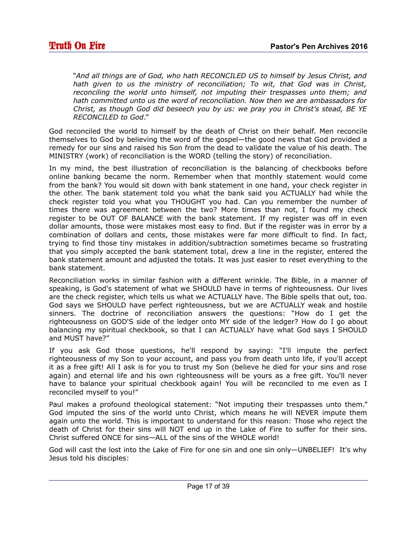"*And all things are of God, who hath RECONCILED US to himself by Jesus Christ, and hath given to us the ministry of reconciliation; To wit, that God was in Christ, reconciling the world unto himself, not imputing their trespasses unto them; and hath committed unto us the word of reconciliation. Now then we are ambassadors for Christ, as though God did beseech you by us: we pray you in Christ's stead, BE YE RECONCILED to God*."

God reconciled the world to himself by the death of Christ on their behalf. Men reconcile themselves to God by believing the word of the gospel—the good news that God provided a remedy for our sins and raised his Son from the dead to validate the value of his death. The MINISTRY (work) of reconciliation is the WORD (telling the story) of reconciliation.

In my mind, the best illustration of reconciliation is the balancing of checkbooks before online banking became the norm. Remember when that monthly statement would come from the bank? You would sit down with bank statement in one hand, your check register in the other. The bank statement told you what the bank said you ACTUALLY had while the check register told you what you THOUGHT you had. Can you remember the number of times there was agreement between the two? More times than not, I found my check register to be OUT OF BALANCE with the bank statement. If my register was off in even dollar amounts, those were mistakes most easy to find. But if the register was in error by a combination of dollars and cents, those mistakes were far more difficult to find. In fact, trying to find those tiny mistakes in addition/subtraction sometimes became so frustrating that you simply accepted the bank statement total, drew a line in the register, entered the bank statement amount and adjusted the totals. It was just easier to reset everything to the bank statement.

Reconciliation works in similar fashion with a different wrinkle. The Bible, in a manner of speaking, is God's statement of what we SHOULD have in terms of righteousness. Our lives are the check register, which tells us what we ACTUALLY have. The Bible spells that out, too. God says we SHOULD have perfect righteousness, but we are ACTUALLY weak and hostile sinners. The doctrine of reconciliation answers the questions: "How do I get the righteousness on GOD'S side of the ledger onto MY side of the ledger? How do I go about balancing my spiritual checkbook, so that I can ACTUALLY have what God says I SHOULD and MUST have?"

If you ask God those questions, he'll respond by saying: "I'll impute the perfect righteousness of my Son to your account, and pass you from death unto life, if you'll accept it as a free gift! All I ask is for you to trust my Son (believe he died for your sins and rose again) and eternal life and his own righteousness will be yours as a free gift. You'll never have to balance your spiritual checkbook again! You will be reconciled to me even as I reconciled myself to you!"

Paul makes a profound theological statement: "Not imputing their trespasses unto them." God imputed the sins of the world unto Christ, which means he will NEVER impute them again unto the world. This is important to understand for this reason: Those who reject the death of Christ for their sins will NOT end up in the Lake of Fire to suffer for their sins. Christ suffered ONCE for sins—ALL of the sins of the WHOLE world!

God will cast the lost into the Lake of Fire for one sin and one sin only—UNBELIEF! It's why Jesus told his disciples: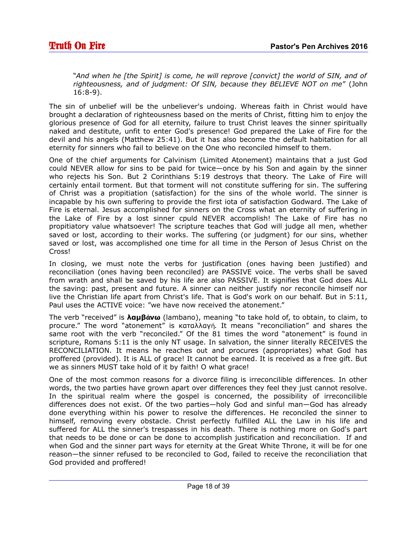"*And when he [the Spirit] is come, he will reprove [convict] the world of SIN, and of righteousness, and of judgment: Of SIN, because they BELIEVE NOT on me*" (John 16:8-9).

The sin of unbelief will be the unbeliever's undoing. Whereas faith in Christ would have brought a declaration of righteousness based on the merits of Christ, fitting him to enjoy the glorious presence of God for all eternity, failure to trust Christ leaves the sinner spiritually naked and destitute, unfit to enter God's presence! God prepared the Lake of Fire for the devil and his angels (Matthew 25:41). But it has also become the default habitation for all eternity for sinners who fail to believe on the One who reconciled himself to them.

One of the chief arguments for Calvinism (Limited Atonement) maintains that a just God could NEVER allow for sins to be paid for twice—once by his Son and again by the sinner who rejects his Son. But 2 Corinthians 5:19 destroys that theory. The Lake of Fire will certainly entail torment. But that torment will not constitute suffering for sin. The suffering of Christ was a propitiation (satisfaction) for the sins of the whole world. The sinner is incapable by his own suffering to provide the first iota of satisfaction Godward. The Lake of Fire is eternal. Jesus accomplished for sinners on the Cross what an eternity of suffering in the Lake of Fire by a lost sinner cpuld NEVER accomplish! The Lake of Fire has no propitiatory value whatsoever! The scripture teaches that God will judge all men, whether saved or lost, according to their works. The suffering (or judgment) for our sins, whether saved or lost, was accomplished one time for all time in the Person of Jesus Christ on the Cross!

In closing, we must note the verbs for justification (ones having been justified) and reconciliation (ones having been reconciled) are PASSIVE voice. The verbs shall be saved from wrath and shall be saved by his life are also PASSIVE. It signifies that God does ALL the saving: past, present and future. A sinner can neither justify nor reconcile himself nor live the Christian life apart from Christ's life. That is God's work on our behalf. But in 5:11, Paul uses the ACTIVE voice: "we have now received the atonement."

The verb "received" is **λαμβ νω ά** (lambano), meaning "to take hold of, to obtain, to claim, to procure." The word "atonement" is καταλλαγή. It means "reconciliation" and shares the same root with the verb "reconciled." Of the 81 times the word "atonement" is found in scripture, Romans 5:11 is the only NT usage. In salvation, the sinner literally RECEIVES the RECONCILIATION. It means he reaches out and procures (appropriates) what God has proffered (provided). It is ALL of grace! It cannot be earned. It is received as a free gift. But we as sinners MUST take hold of it by faith! O what grace!

One of the most common reasons for a divorce filing is irreconcilible differences. In other words, the two parties have grown apart over differences they feel they just cannot resolve. In the spiritual realm where the gospel is concerned, the possibility of irreconcilible differences does not exist. Of the two parties—holy God and sinful man—God has already done everything within his power to resolve the differences. He reconciled the sinner to himself, removing every obstacle. Christ perfectly fulfilled ALL the Law in his life and suffered for ALL the sinner's trespasses in his death. There is nothing more on God's part that needs to be done or can be done to accomplish justification and reconciliation. If and when God and the sinner part ways for eternity at the Great White Throne, it will be for one reason—the sinner refused to be reconciled to God, failed to receive the reconciliation that God provided and proffered!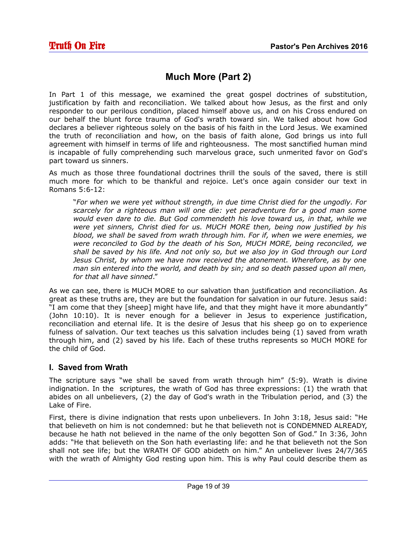## <span id="page-18-0"></span>**Much More (Part 2)**

In Part 1 of this message, we examined the great gospel doctrines of substitution, justification by faith and reconciliation. We talked about how Jesus, as the first and only responder to our perilous condition, placed himself above us, and on his Cross endured on our behalf the blunt force trauma of God's wrath toward sin. We talked about how God declares a believer righteous solely on the basis of his faith in the Lord Jesus. We examined the truth of reconciliation and how, on the basis of faith alone, God brings us into full agreement with himself in terms of life and righteousness. The most sanctified human mind is incapable of fully comprehending such marvelous grace, such unmerited favor on God's part toward us sinners.

As much as those three foundational doctrines thrill the souls of the saved, there is still much more for which to be thankful and rejoice. Let's once again consider our text in Romans 5:6-12:

"*For when we were yet without strength, in due time Christ died for the ungodly. For scarcely for a righteous man will one die: yet peradventure for a good man some would even dare to die. But God commendeth his love toward us, in that, while we were yet sinners, Christ died for us. MUCH MORE then, being now justified by his blood, we shall be saved from wrath through him. For if, when we were enemies, we were reconciled to God by the death of his Son, MUCH MORE, being reconciled, we shall be saved by his life. And not only so, but we also joy in God through our Lord Jesus Christ, by whom we have now received the atonement. Wherefore, as by one man sin entered into the world, and death by sin; and so death passed upon all men, for that all have sinned*."

As we can see, there is MUCH MORE to our salvation than justification and reconciliation. As great as these truths are, they are but the foundation for salvation in our future. Jesus said: "I am come that they [sheep] might have life, and that they might have it more abundantly" (John 10:10). It is never enough for a believer in Jesus to experience justification, reconciliation and eternal life. It is the desire of Jesus that his sheep go on to experience fulness of salvation. Our text teaches us this salvation includes being (1) saved from wrath through him, and (2) saved by his life. Each of these truths represents so MUCH MORE for the child of God.

#### **I. Saved from Wrath**

The scripture says "we shall be saved from wrath through him" (5:9). Wrath is divine indignation. In the scriptures, the wrath of God has three expressions: (1) the wrath that abides on all unbelievers, (2) the day of God's wrath in the Tribulation period, and (3) the Lake of Fire.

First, there is divine indignation that rests upon unbelievers. In John 3:18, Jesus said: "He that believeth on him is not condemned: but he that believeth not is CONDEMNED ALREADY, because he hath not believed in the name of the only begotten Son of God." In 3:36, John adds: "He that believeth on the Son hath everlasting life: and he that believeth not the Son shall not see life; but the WRATH OF GOD abideth on him." An unbeliever lives 24/7/365 with the wrath of Almighty God resting upon him. This is why Paul could describe them as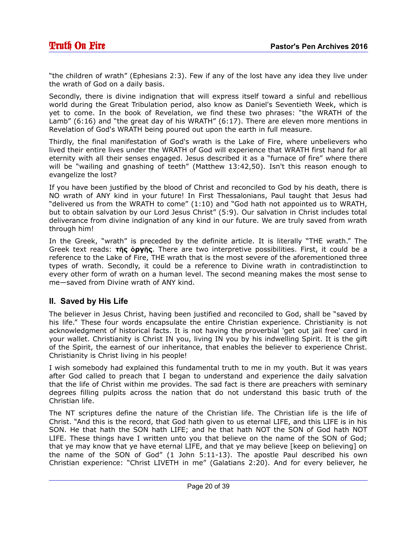"the children of wrath" (Ephesians 2:3). Few if any of the lost have any idea they live under the wrath of God on a daily basis.

Secondly, there is divine indignation that will express itself toward a sinful and rebellious world during the Great Tribulation period, also know as Daniel's Seventieth Week, which is yet to come. In the book of Revelation, we find these two phrases: "the WRATH of the Lamb" (6:16) and "the great day of his WRATH" (6:17). There are eleven more mentions in Revelation of God's WRATH being poured out upon the earth in full measure.

Thirdly, the final manifestation of God's wrath is the Lake of Fire, where unbelievers who lived their entire lives under the WRATH of God will experience that WRATH first hand for all eternity with all their senses engaged. Jesus described it as a "furnace of fire" where there will be "wailing and gnashing of teeth" (Matthew 13:42,50). Isn't this reason enough to evangelize the lost?

If you have been justified by the blood of Christ and reconciled to God by his death, there is NO wrath of ANY kind in your future! In First Thessalonians, Paul taught that Jesus had "delivered us from the WRATH to come" (1:10) and "God hath not appointed us to WRATH, but to obtain salvation by our Lord Jesus Christ" (5:9). Our salvation in Christ includes total deliverance from divine indignation of any kind in our future. We are truly saved from wrath through him!

In the Greek, "wrath" is preceded by the definite article. It is literally "THE wrath." The Greek text reads: **της όργης**. There are two interpretive possibilities. First, it could be a reference to the Lake of Fire, THE wrath that is the most severe of the aforementioned three types of wrath. Secondly, it could be a reference to Divine wrath in contradistinction to every other form of wrath on a human level. The second meaning makes the most sense to me—saved from Divine wrath of ANY kind.

## **II. Saved by His Life**

The believer in Jesus Christ, having been justified and reconciled to God, shall be "saved by his life." These four words encapsulate the entire Christian experience. Christianity is not acknowledgment of historical facts. It is not having the proverbial 'get out jail free' card in your wallet. Christianity is Christ IN you, living IN you by his indwelling Spirit. It is the gift of the Spirit, the earnest of our inheritance, that enables the believer to experience Christ. Christianity is Christ living in his people!

I wish somebody had explained this fundamental truth to me in my youth. But it was years after God called to preach that I began to understand and experience the daily salvation that the life of Christ within me provides. The sad fact is there are preachers with seminary degrees filling pulpits across the nation that do not understand this basic truth of the Christian life.

The NT scriptures define the nature of the Christian life. The Christian life is the life of Christ. "And this is the record, that God hath given to us eternal LIFE, and this LIFE is in his SON. He that hath the SON hath LIFE; and he that hath NOT the SON of God hath NOT LIFE. These things have I written unto you that believe on the name of the SON of God; that ye may know that ye have eternal LIFE, and that ye may believe [keep on believing] on the name of the SON of God" (1 John 5:11-13). The apostle Paul described his own Christian experience: "Christ LIVETH in me" (Galatians 2:20). And for every believer, he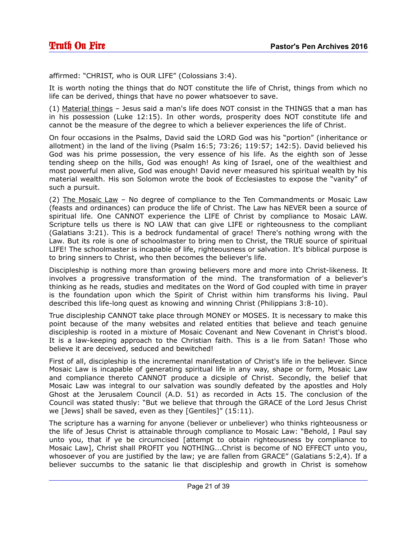affirmed: "CHRIST, who is OUR LIFE" (Colossians 3:4).

It is worth noting the things that do NOT constitute the life of Christ, things from which no life can be derived, things that have no power whatsoever to save.

(1) Material things – Jesus said a man's life does NOT consist in the THINGS that a man has in his possession (Luke 12:15). In other words, prosperity does NOT constitute life and cannot be the measure of the degree to which a believer experiences the life of Christ.

On four occasions in the Psalms, David said the LORD God was his "portion" (inheritance or allotment) in the land of the living (Psalm 16:5; 73:26; 119:57; 142:5). David believed his God was his prime possession, the very essence of his life. As the eighth son of Jesse tending sheep on the hills, God was enough! As king of Israel, one of the wealthiest and most powerful men alive, God was enough! David never measured his spiritual wealth by his material wealth. His son Solomon wrote the book of Ecclesiastes to expose the "vanity" of such a pursuit.

(2) The Mosaic Law – No degree of compliance to the Ten Commandments or Mosaic Law (feasts and ordinances) can produce the life of Christ. The Law has NEVER been a source of spiritual life. One CANNOT experience the LIFE of Christ by compliance to Mosaic LAW. Scripture tells us there is NO LAW that can give LIFE or righteousness to the compliant (Galatians 3:21). This is a bedrock fundamental of grace! There's nothing wrong with the Law. But its role is one of schoolmaster to bring men to Christ, the TRUE source of spiritual LIFE! The schoolmaster is incapable of life, righteousness or salvation. It's biblical purpose is to bring sinners to Christ, who then becomes the believer's life.

Discipleship is nothing more than growing believers more and more into Christ-likeness. It involves a progressive transformation of the mind. The transformation of a believer's thinking as he reads, studies and meditates on the Word of God coupled with time in prayer is the foundation upon which the Spirit of Christ within him transforms his living. Paul described this life-long quest as knowing and winning Christ (Philippians 3:8-10).

True discipleship CANNOT take place through MONEY or MOSES. It is necessary to make this point because of the many websites and related entities that believe and teach genuine discipleship is rooted in a mixture of Mosaic Covenant and New Covenant in Christ's blood. It is a law-keeping approach to the Christian faith. This is a lie from Satan! Those who believe it are deceived, seduced and bewitched!

First of all, discipleship is the incremental manifestation of Christ's life in the believer. Since Mosaic Law is incapable of generating spiritual life in any way, shape or form, Mosaic Law and compliance thereto CANNOT produce a dicsiple of Christ. Secondly, the belief that Mosaic Law was integral to our salvation was soundly defeated by the apostles and Holy Ghost at the Jerusalem Council (A.D. 51) as recorded in Acts 15. The conclusion of the Council was stated thusly: "But we believe that through the GRACE of the Lord Jesus Christ we [Jews] shall be saved, even as they [Gentiles]" (15:11).

The scripture has a warning for anyone (believer or unbeliever) who thinks righteousness or the life of Jesus Christ is attainable through compliance to Mosaic Law: "Behold, I Paul say unto you, that if ye be circumcised [attempt to obtain righteousness by compliance to Mosaic Law], Christ shall PROFIT you NOTHING...Christ is become of NO EFFECT unto you, whosoever of you are justified by the law; ye are fallen from GRACE" (Galatians 5:2,4). If a believer succumbs to the satanic lie that discipleship and growth in Christ is somehow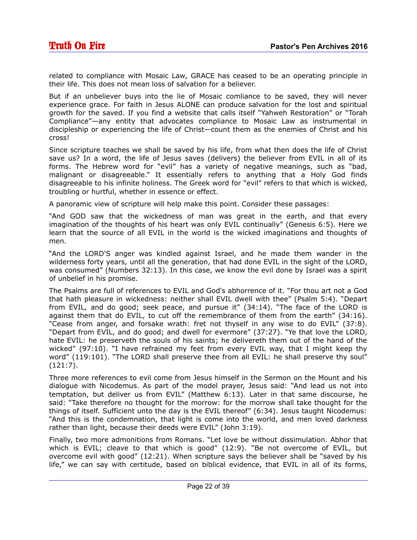related to compliance with Mosaic Law, GRACE has ceased to be an operating principle in their life. This does not mean loss of salvation for a believer.

But if an unbeliever buys into the lie of Mosaic comliance to be saved, they will never experience grace. For faith in Jesus ALONE can produce salvation for the lost and spiritual growth for the saved. If you find a website that calls itself "Yahweh Restoration" or "Torah Compliance"—any entity that advocates compliance to Mosaic Law as instrumental in discipleship or experiencing the life of Christ—count them as the enemies of Christ and his cross!

Since scripture teaches we shall be saved by his life, from what then does the life of Christ save us? In a word, the life of Jesus saves (delivers) the believer from EVIL in all of its forms. The Hebrew word for "evil" has a variety of negative meanings, such as "bad, malignant or disagreeable." It essentially refers to anything that a Holy God finds disagreeable to his infinite holiness. The Greek word for "evil" refers to that which is wicked, troubling or hurtful, whether in essence or effect.

A panoramic view of scripture will help make this point. Consider these passages:

"And GOD saw that the wickedness of man was great in the earth, and that every imagination of the thoughts of his heart was only EVIL continually" (Genesis 6:5). Here we learn that the source of all EVIL in the world is the wicked imaginations and thoughts of men.

"And the LORD'S anger was kindled against Israel, and he made them wander in the wilderness forty years, until all the generation, that had done EVIL in the sight of the LORD, was consumed" (Numbers 32:13). In this case, we know the evil done by Israel was a spirit of unbelief in his promise.

The Psalms are full of references to EVIL and God's abhorrence of it. "For thou art not a God that hath pleasure in wickedness: neither shall EVIL dwell with thee" (Psalm 5:4). "Depart from EVIL, and do good; seek peace, and pursue it" (34:14). "The face of the LORD is against them that do EVIL, to cut off the remembrance of them from the earth" (34:16). "Cease from anger, and forsake wrath: fret not thyself in any wise to do EVIL" (37:8). "Depart from EVIL, and do good; and dwell for evermore" (37:27). "Ye that love the LORD, hate EVIL: he preserveth the souls of his saints; he delivereth them out of the hand of the wicked" (97:10). "I have refrained my feet from every EVIL way, that I might keep thy word" (119:101). "The LORD shall preserve thee from all EVIL: he shall preserve thy soul" (121:7).

Three more references to evil come from Jesus himself in the Sermon on the Mount and his dialogue with Nicodemus. As part of the model prayer, Jesus said: "And lead us not into temptation, but deliver us from EVIL" (Matthew 6:13). Later in that same discourse, he said: "Take therefore no thought for the morrow: for the morrow shall take thought for the things of itself. Sufficient unto the day is the EVIL thereof" (6:34). Jesus taught Nicodemus: "And this is the condemnation, that light is come into the world, and men loved darkness rather than light, because their deeds were EVIL" (John 3:19).

Finally, two more admonitions from Romans. "Let love be without dissimulation. Abhor that which is EVIL; cleave to that which is good" (12:9). "Be not overcome of EVIL, but overcome evil with good" (12:21). When scripture says the believer shall be "saved by his life," we can say with certitude, based on biblical evidence, that EVIL in all of its forms,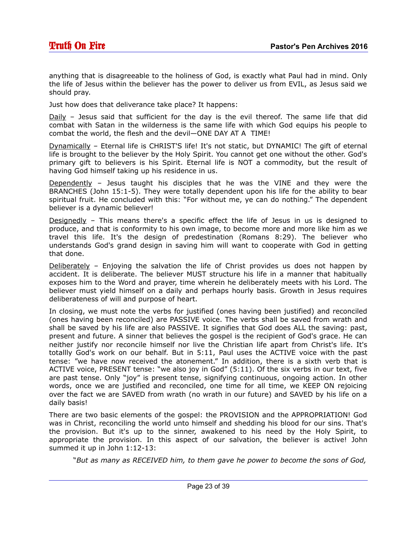anything that is disagreeable to the holiness of God, is exactly what Paul had in mind. Only the life of Jesus within the believer has the power to deliver us from EVIL, as Jesus said we should pray.

Just how does that deliverance take place? It happens:

Daily – Jesus said that sufficient for the day is the evil thereof. The same life that did combat with Satan in the wilderness is the same life with which God equips his people to combat the world, the flesh and the devil—ONE DAY AT A TIME!

Dynamically – Eternal life is CHRIST'S life! It's not static, but DYNAMIC! The gift of eternal life is brought to the believer by the Holy Spirit. You cannot get one without the other. God's primary gift to believers is his Spirit. Eternal life is NOT a commodity, but the result of having God himself taking up his residence in us.

Dependently – Jesus taught his disciples that he was the VINE and they were the BRANCHES (John 15:1-5). They were totally dependent upon his life for the ability to bear spiritual fruit. He concluded with this: "For without me, ye can do nothing." The dependent believer is a dynamic believer!

Designedly – This means there's a specific effect the life of Jesus in us is designed to produce, and that is conformity to his own image, to become more and more like him as we travel this life. It's the design of predestination (Romans 8:29). The believer who understands God's grand design in saving him will want to cooperate with God in getting that done.

Deliberately – Enjoying the salvation the life of Christ provides us does not happen by accident. It is deliberate. The believer MUST structure his life in a manner that habitually exposes him to the Word and prayer, time wherein he deliberately meets with his Lord. The believer must yield himself on a daily and perhaps hourly basis. Growth in Jesus requires deliberateness of will and purpose of heart.

In closing, we must note the verbs for justified (ones having been justified) and reconciled (ones having been reconciled) are PASSIVE voice. The verbs shall be saved from wrath and shall be saved by his life are also PASSIVE. It signifies that God does ALL the saving: past, present and future. A sinner that believes the gospel is the recipient of God's grace. He can neither justify nor reconcile himself nor live the Christian life apart from Christ's life. It's totallly God's work on our behalf. But in 5:11, Paul uses the ACTIVE voice with the past tense: "we have now received the atonement." In addition, there is a sixth verb that is ACTIVE voice, PRESENT tense: "we also joy in God" (5:11). Of the six verbs in our text, five are past tense. Only "joy" is present tense, signifying continuous, ongoing action. In other words, once we are justified and reconciled, one time for all time, we KEEP ON rejoicing over the fact we are SAVED from wrath (no wrath in our future) and SAVED by his life on a daily basis!

There are two basic elements of the gospel: the PROVISION and the APPROPRIATION! God was in Christ, reconciling the world unto himself and shedding his blood for our sins. That's the provision. But it's up to the sinner, awakened to his need by the Holy Spirit, to appropriate the provision. In this aspect of our salvation, the believer is active! John summed it up in John 1:12-13:

"*But as many as RECEIVED him, to them gave he power to become the sons of God,*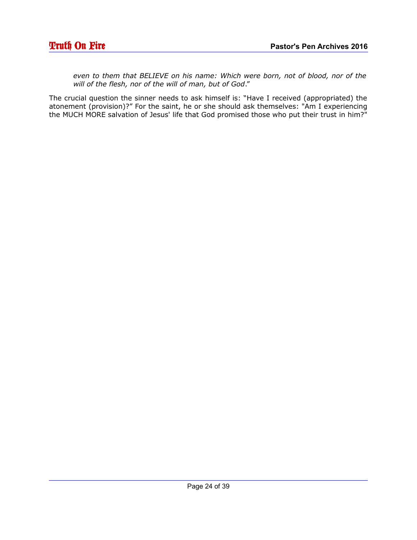*even to them that BELIEVE on his name: Which were born, not of blood, nor of the will of the flesh, nor of the will of man, but of God*."

The crucial question the sinner needs to ask himself is: "Have I received (appropriated) the atonement (provision)?" For the saint, he or she should ask themselves: "Am I experiencing the MUCH MORE salvation of Jesus' life that God promised those who put their trust in him?"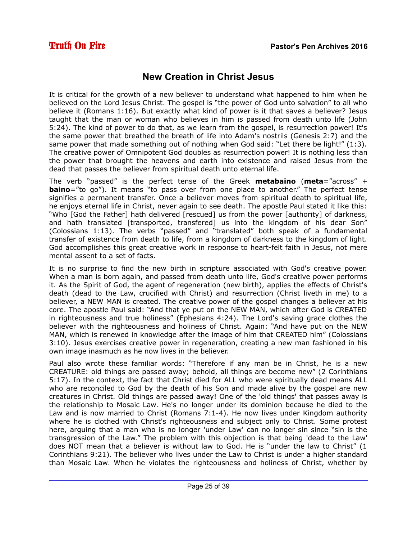## <span id="page-24-0"></span>**New Creation in Christ Jesus**

It is critical for the growth of a new believer to understand what happened to him when he believed on the Lord Jesus Christ. The gospel is "the power of God unto salvation" to all who believe it (Romans 1:16). But exactly what kind of power is it that saves a believer? Jesus taught that the man or woman who believes in him is passed from death unto life (John 5:24). The kind of power to do that, as we learn from the gospel, is resurrection power! It's the same power that breathed the breath of life into Adam's nostrils (Genesis 2:7) and the same power that made something out of nothing when God said: "Let there be light!" (1:3). The creative power of Omnipotent God doubles as resurrection power! It is nothing less than the power that brought the heavens and earth into existence and raised Jesus from the dead that passes the believer from spiritual death unto eternal life.

The verb "passed" is the perfect tense of the Greek **metabaino** (**meta**="across" + **baino**="to go"). It means "to pass over from one place to another." The perfect tense signifies a permanent transfer. Once a believer moves from spiritual death to spiritual life, he enjoys eternal life in Christ, never again to see death. The apostle Paul stated it like this: "Who [God the Father] hath delivered [rescued] us from the power [authority] of darkness, and hath translated [transported, transfered] us into the kingdom of his dear Son" (Colossians 1:13). The verbs "passed" and "translated" both speak of a fundamental transfer of existence from death to life, from a kingdom of darkness to the kingdom of light. God accomplishes this great creative work in response to heart-felt faith in Jesus, not mere mental assent to a set of facts.

It is no surprise to find the new birth in scripture associated with God's creative power. When a man is born again, and passed from death unto life, God's creative power performs it. As the Spirit of God, the agent of regeneration (new birth), applies the effects of Christ's death (dead to the Law, crucified with Christ) and resurrection (Christ liveth in me) to a believer, a NEW MAN is created. The creative power of the gospel changes a believer at his core. The apostle Paul said: "And that ye put on the NEW MAN, which after God is CREATED in righteousness and true holiness" (Ephesians 4:24). The Lord's saving grace clothes the believer with the righteousness and holiness of Christ. Again: "And have put on the NEW MAN, which is renewed in knowledge after the image of him that CREATED him" (Colossians 3:10). Jesus exercises creative power in regeneration, creating a new man fashioned in his own image inasmuch as he now lives in the believer.

Paul also wrote these familiar words: "Therefore if any man be in Christ, he is a new CREATURE: old things are passed away; behold, all things are become new" (2 Corinthians 5:17). In the context, the fact that Christ died for ALL who were spiritually dead means ALL who are reconciled to God by the death of his Son and made alive by the gospel are new creatures in Christ. Old things are passed away! One of the 'old things' that passes away is the relationship to Mosaic Law. He's no longer under its dominion because he died to the Law and is now married to Christ (Romans 7:1-4). He now lives under Kingdom authority where he is clothed with Christ's righteousness and subject only to Christ. Some protest here, arguing that a man who is no longer 'under Law' can no longer sin since "sin is the transgression of the Law." The problem with this objection is that being 'dead to the Law' does NOT mean that a believer is without law to God. He is "under the law to Christ" (1 Corinthians 9:21). The believer who lives under the Law to Christ is under a higher standard than Mosaic Law. When he violates the righteousness and holiness of Christ, whether by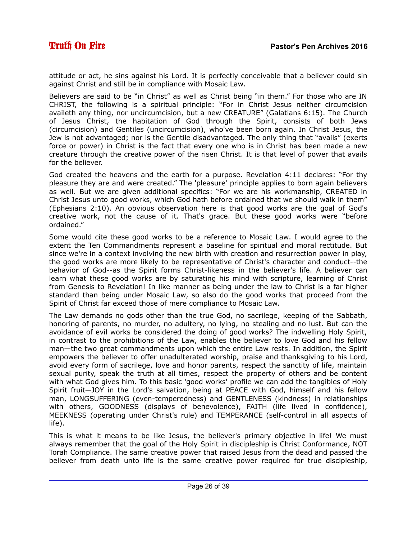attitude or act, he sins against his Lord. It is perfectly conceivable that a believer could sin against Christ and still be in compliance with Mosaic Law.

Believers are said to be "in Christ" as well as Christ being "in them." For those who are IN CHRIST, the following is a spiritual principle: "For in Christ Jesus neither circumcision availeth any thing, nor uncircumcision, but a new CREATURE" (Galatians 6:15). The Church of Jesus Christ, the habitation of God through the Spirit, consists of both Jews (circumcision) and Gentiles (uncircumcision), who've been born again. In Christ Jesus, the Jew is not advantaged; nor is the Gentile disadvantaged. The only thing that "avails" (exerts force or power) in Christ is the fact that every one who is in Christ has been made a new creature through the creative power of the risen Christ. It is that level of power that avails for the believer.

God created the heavens and the earth for a purpose. Revelation 4:11 declares: "For thy pleasure they are and were created." The 'pleasure' principle applies to born again believers as well. But we are given additional specifics: "For we are his workmanship, CREATED in Christ Jesus unto good works, which God hath before ordained that we should walk in them" (Ephesians 2:10). An obvious observation here is that good works are the goal of God's creative work, not the cause of it. That's grace. But these good works were "before ordained."

Some would cite these good works to be a reference to Mosaic Law. I would agree to the extent the Ten Commandments represent a baseline for spiritual and moral rectitude. But since we're in a context involving the new birth with creation and resurrection power in play, the good works are more likely to be representative of Christ's character and conduct--the behavior of God--as the Spirit forms Christ-likeness in the believer's life. A believer can learn what these good works are by saturating his mind with scripture, learning of Christ from Genesis to Revelation! In like manner as being under the law to Christ is a far higher standard than being under Mosaic Law, so also do the good works that proceed from the Spirit of Christ far exceed those of mere compliance to Mosaic Law.

The Law demands no gods other than the true God, no sacrilege, keeping of the Sabbath, honoring of parents, no murder, no adultery, no lying, no stealing and no lust. But can the avoidance of evil works be considered the doing of good works? The indwelling Holy Spirit, in contrast to the prohibitions of the Law, enables the believer to love God and his fellow man—the two great commandments upon which the entire Law rests. In addition, the Spirit empowers the believer to offer unadulterated worship, praise and thanksgiving to his Lord, avoid every form of sacrilege, love and honor parents, respect the sanctity of life, maintain sexual purity, speak the truth at all times, respect the property of others and be content with what God gives him. To this basic 'good works' profile we can add the tangibles of Holy Spirit fruit—JOY in the Lord's salvation, being at PEACE with God, himself and his fellow man, LONGSUFFERING (even-temperedness) and GENTLENESS (kindness) in relationships with others, GOODNESS (displays of benevolence), FAITH (life lived in confidence), MEEKNESS (operating under Christ's rule) and TEMPERANCE (self-control in all aspects of life).

This is what it means to be like Jesus, the believer's primary objective in life! We must always remember that the goal of the Holy Spirit in discipleship is Christ Conformance, NOT Torah Compliance. The same creative power that raised Jesus from the dead and passed the believer from death unto life is the same creative power required for true discipleship,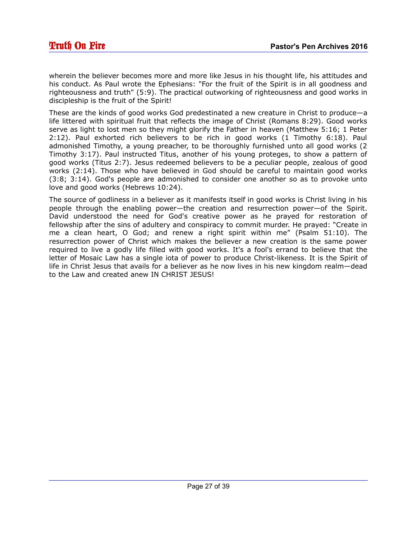wherein the believer becomes more and more like Jesus in his thought life, his attitudes and his conduct. As Paul wrote the Ephesians: "For the fruit of the Spirit is in all goodness and righteousness and truth" (5:9). The practical outworking of righteousness and good works in discipleship is the fruit of the Spirit!

These are the kinds of good works God predestinated a new creature in Christ to produce—a life littered with spiritual fruit that reflects the image of Christ (Romans 8:29). Good works serve as light to lost men so they might glorify the Father in heaven (Matthew 5:16; 1 Peter 2:12). Paul exhorted rich believers to be rich in good works (1 Timothy 6:18). Paul admonished Timothy, a young preacher, to be thoroughly furnished unto all good works (2 Timothy 3:17). Paul instructed Titus, another of his young proteges, to show a pattern of good works (Titus 2:7). Jesus redeemed believers to be a peculiar people, zealous of good works (2:14). Those who have believed in God should be careful to maintain good works (3:8; 3:14). God's people are admonished to consider one another so as to provoke unto love and good works (Hebrews 10:24).

The source of godliness in a believer as it manifests itself in good works is Christ living in his people through the enabling power—the creation and resurrection power—of the Spirit. David understood the need for God's creative power as he prayed for restoration of fellowship after the sins of adultery and conspiracy to commit murder. He prayed: "Create in me a clean heart, O God; and renew a right spirit within me" (Psalm 51:10). The resurrection power of Christ which makes the believer a new creation is the same power required to live a godly life filled with good works. It's a fool's errand to believe that the letter of Mosaic Law has a single iota of power to produce Christ-likeness. It is the Spirit of life in Christ Jesus that avails for a believer as he now lives in his new kingdom realm—dead to the Law and created anew IN CHRIST JESUS!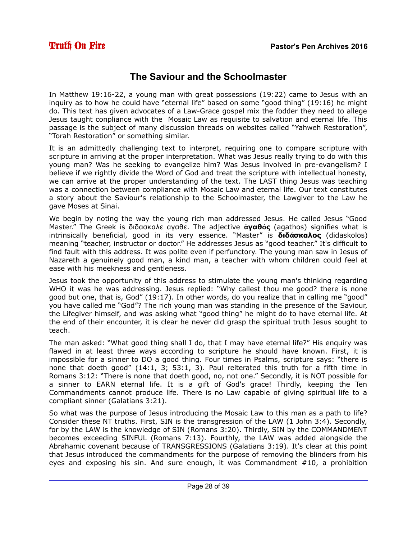## <span id="page-27-0"></span>**The Saviour and the Schoolmaster**

In Matthew 19:16-22, a young man with great possessions (19:22) came to Jesus with an inquiry as to how he could have "eternal life" based on some "good thing" (19:16) he might do. This text has given advocates of a Law-Grace gospel mix the fodder they need to allege Jesus taught conpliance with the Mosaic Law as requisite to salvation and eternal life. This passage is the subject of many discussion threads on websites called "Yahweh Restoration", "Torah Restoration" or something similar.

It is an admittedly challenging text to interpret, requiring one to compare scripture with scripture in arriving at the proper interpretation. What was Jesus really trying to do with this young man? Was he seeking to evangelize him? Was Jesus involved in pre-evangelism? I believe if we rightly divide the Word of God and treat the scripture with intellectual honesty, we can arrive at the proper understanding of the text. The LAST thing Jesus was teaching was a connection between compliance with Mosaic Law and eternal life. Our text constitutes a story about the Saviour's relationship to the Schoolmaster, the Lawgiver to the Law he gave Moses at Sinai.

We begin by noting the way the young rich man addressed Jesus. He called Jesus "Good Master." The Greek is διδασκαλε αγαθε. The adjective **άγαθός** (agathos) signifies what is intrinsically beneficial, good in its very essence. "Master" is **διδάσκαλος** (didaskolos) meaning "teacher, instructor or doctor." He addresses Jesus as "good teacher." It's difficult to find fault with this address. It was polite even if perfunctory. The young man saw in Jesus of Nazareth a genuinely good man, a kind man, a teacher with whom children could feel at ease with his meekness and gentleness.

Jesus took the opportunity of this address to stimulate the young man's thinking regarding WHO it was he was addressing. Jesus replied: "Why callest thou me good? there is none good but one, that is, God" (19:17). In other words, do you realize that in calling me "good" you have called me "God"? The rich young man was standing in the presence of the Saviour, the Lifegiver himself, and was asking what "good thing" he might do to have eternal life. At the end of their encounter, it is clear he never did grasp the spiritual truth Jesus sought to teach.

The man asked: "What good thing shall I do, that I may have eternal life?" His enquiry was flawed in at least three ways according to scripture he should have known. First, it is impossible for a sinner to DO a good thing. Four times in Psalms, scripture says: "there is none that doeth good" (14:1, 3; 53:1, 3). Paul reiterated this truth for a fifth time in Romans 3:12: "There is none that doeth good, no, not one." Secondly, it is NOT possible for a sinner to EARN eternal life. It is a gift of God's grace! Thirdly, keeping the Ten Commandments cannot produce life. There is no Law capable of giving spiritual life to a compliant sinner (Galatians 3:21).

So what was the purpose of Jesus introducing the Mosaic Law to this man as a path to life? Consider these NT truths. First, SIN is the transgression of the LAW (1 John 3:4). Secondly, for by the LAW is the knowledge of SIN (Romans 3:20). Thirdly, SIN by the COMMANDMENT becomes exceeding SINFUL (Romans 7:13). Fourthly, the LAW was added alongside the Abrahamic covenant because of TRANSGRESSIONS (Galatians 3:19). It's clear at this point that Jesus introduced the commandments for the purpose of removing the blinders from his eyes and exposing his sin. And sure enough, it was Commandment  $#10$ , a prohibition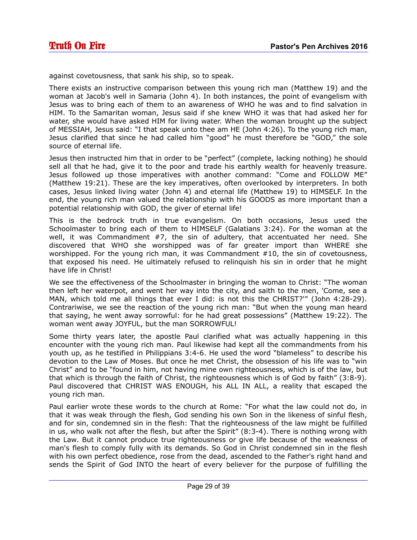against covetousness, that sank his ship, so to speak.

There exists an instructive comparison between this young rich man (Matthew 19) and the woman at Jacob's well in Samaria (John 4). In both instances, the point of evangelism with Jesus was to bring each of them to an awareness of WHO he was and to find salvation in HIM. To the Samaritan woman, Jesus said if she knew WHO it was that had asked her for water, she would have asked HIM for living water. When the woman brought up the subject of MESSIAH, Jesus said: "I that speak unto thee am HE (John 4:26). To the young rich man, Jesus clarified that since he had called him "good" he must therefore be "GOD," the sole source of eternal life.

Jesus then instructed him that in order to be "perfect" (complete, lacking nothing) he should sell all that he had, give it to the poor and trade his earthly wealth for heavenly treasure. Jesus followed up those imperatives with another command: "Come and FOLLOW ME" (Matthew 19:21). These are the key imperatives, often overlooked by interpreters. In both cases, Jesus linked living water (John 4) and eternal life (Matthew 19) to HIMSELF. In the end, the young rich man valued the relationship with his GOODS as more important than a potential relationship with GOD, the giver of eternal life!

This is the bedrock truth in true evangelism. On both occasions, Jesus used the Schoolmaster to bring each of them to HIMSELF (Galatians 3:24). For the woman at the well, it was Commandment #7, the sin of adultery, that accentuated her need. She discovered that WHO she worshipped was of far greater import than WHERE she worshipped. For the young rich man, it was Commandment #10, the sin of covetousness, that exposed his need. He ultimately refused to relinquish his sin in order that he might have life in Christ!

We see the effectiveness of the Schoolmaster in bringing the woman to Christ: "The woman then left her waterpot, and went her way into the city, and saith to the men, 'Come, see a MAN, which told me all things that ever I did: is not this the CHRIST?'" (John 4:28-29). Contrariwise, we see the reaction of the young rich man: "But when the young man heard that saying, he went away sorrowful: for he had great possessions" (Matthew 19:22). The woman went away JOYFUL, but the man SORROWFUL!

Some thirty years later, the apostle Paul clarified what was actually happening in this encounter with the young rich man. Paul likewise had kept all the commandments from his youth up, as he testified in Philippians 3:4-6. He used the word "blameless" to describe his devotion to the Law of Moses. But once he met Christ, the obsession of his life was to "win Christ" and to be "found in him, not having mine own righteousness, which is of the law, but that which is through the faith of Christ, the righteousness which is of God by faith" (3:8-9). Paul discovered that CHRIST WAS ENOUGH, his ALL IN ALL, a reality that escaped the young rich man.

Paul earlier wrote these words to the church at Rome: "For what the law could not do, in that it was weak through the flesh, God sending his own Son in the likeness of sinful flesh, and for sin, condemned sin in the flesh: That the righteousness of the law might be fulfilled in us, who walk not after the flesh, but after the Spirit" (8:3-4). There is nothing wrong with the Law. But it cannot produce true righteousness or give life because of the weakness of man's flesh to comply fully with its demands. So God in Christ condemned sin in the flesh with his own perfect obedience, rose from the dead, ascended to the Father's right hand and sends the Spirit of God INTO the heart of every believer for the purpose of fulfilling the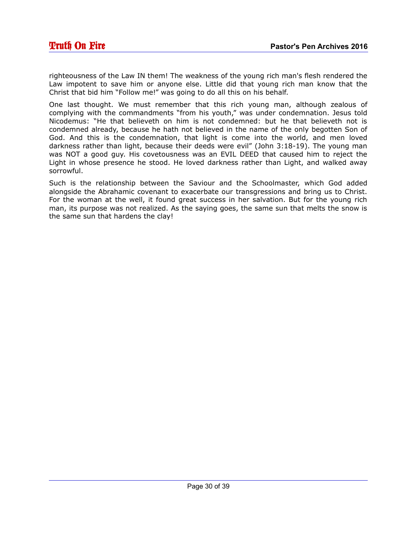righteousness of the Law IN them! The weakness of the young rich man's flesh rendered the Law impotent to save him or anyone else. Little did that young rich man know that the Christ that bid him "Follow me!" was going to do all this on his behalf.

One last thought. We must remember that this rich young man, although zealous of complying with the commandments "from his youth," was under condemnation. Jesus told Nicodemus: "He that believeth on him is not condemned: but he that believeth not is condemned already, because he hath not believed in the name of the only begotten Son of God. And this is the condemnation, that light is come into the world, and men loved darkness rather than light, because their deeds were evil" (John 3:18-19). The young man was NOT a good guy. His covetousness was an EVIL DEED that caused him to reject the Light in whose presence he stood. He loved darkness rather than Light, and walked away sorrowful.

Such is the relationship between the Saviour and the Schoolmaster, which God added alongside the Abrahamic covenant to exacerbate our transgressions and bring us to Christ. For the woman at the well, it found great success in her salvation. But for the young rich man, its purpose was not realized. As the saying goes, the same sun that melts the snow is the same sun that hardens the clay!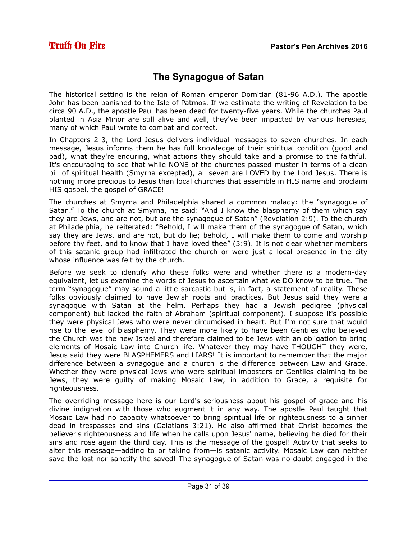# <span id="page-30-0"></span>**The Synagogue of Satan**

The historical setting is the reign of Roman emperor Domitian (81-96 A.D.). The apostle John has been banished to the Isle of Patmos. If we estimate the writing of Revelation to be circa 90 A.D., the apostle Paul has been dead for twenty-five years. While the churches Paul planted in Asia Minor are still alive and well, they've been impacted by various heresies, many of which Paul wrote to combat and correct.

In Chapters 2-3, the Lord Jesus delivers individual messages to seven churches. In each message, Jesus informs them he has full knowledge of their spiritual condition (good and bad), what they're enduring, what actions they should take and a promise to the faithful. It's encouraging to see that while NONE of the churches passed muster in terms of a clean bill of spiritual health (Smyrna excepted), all seven are LOVED by the Lord Jesus. There is nothing more precious to Jesus than local churches that assemble in HIS name and proclaim HIS gospel, the gospel of GRACE!

The churches at Smyrna and Philadelphia shared a common malady: the "synagogue of Satan." To the church at Smyrna, he said: "And I know the blasphemy of them which say they are Jews, and are not, but are the synagogue of Satan" (Revelation 2:9). To the church at Philadelphia, he reiterated: "Behold, I will make them of the synagogue of Satan, which say they are Jews, and are not, but do lie; behold, I will make them to come and worship before thy feet, and to know that I have loved thee" (3:9). It is not clear whether members of this satanic group had infiltrated the church or were just a local presence in the city whose influence was felt by the church.

Before we seek to identify who these folks were and whether there is a modern-day equivalent, let us examine the words of Jesus to ascertain what we DO know to be true. The term "synagogue" may sound a little sarcastic but is, in fact, a statement of reality. These folks obviously claimed to have Jewish roots and practices. But Jesus said they were a synagogue with Satan at the helm. Perhaps they had a Jewish pedigree (physical component) but lacked the faith of Abraham (spiritual component). I suppose it's possible they were physical Jews who were never circumcised in heart. But I'm not sure that would rise to the level of blasphemy. They were more likely to have been Gentiles who believed the Church was the new Israel and therefore claimed to be Jews with an obligation to bring elements of Mosaic Law into Church life. Whatever they may have THOUGHT they were, Jesus said they were BLASPHEMERS and LIARS! It is important to remember that the major difference between a synagogue and a church is the difference between Law and Grace. Whether they were physical Jews who were spiritual imposters or Gentiles claiming to be Jews, they were guilty of making Mosaic Law, in addition to Grace, a requisite for righteousness.

The overriding message here is our Lord's seriousness about his gospel of grace and his divine indignation with those who augment it in any way. The apostle Paul taught that Mosaic Law had no capacity whatsoever to bring spiritual life or righteousness to a sinner dead in trespasses and sins (Galatians 3:21). He also affirmed that Christ becomes the believer's righteousness and life when he calls upon Jesus' name, believing he died for their sins and rose again the third day. This is the message of the gospel! Activity that seeks to alter this message—adding to or taking from—is satanic activity. Mosaic Law can neither save the lost nor sanctify the saved! The synagogue of Satan was no doubt engaged in the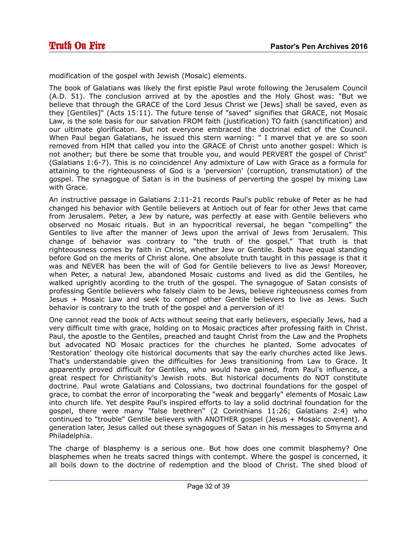modification of the gospel with Jewish (Mosaic) elements.

The book of Galatians was likely the first epistle Paul wrote following the Jerusalem Council (A.D. 51). The conclusion arrived at by the apostles and the Holy Ghost was: "But we believe that through the GRACE of the Lord Jesus Christ we [Jews] shall be saved, even as they [Gentiles]" (Acts 15:11). The future tense of "saved" signifies that GRACE, not Mosaic Law, is the sole basis for our salvation FROM faith (justification) TO faith (sanctification) and our ultimate glorificaton. But not everyone embraced the doctrinal edict of the Council. When Paul began Galatians, he issued this stern warning: " I marvel that ye are so soon removed from HIM that called you into the GRACE of Christ unto another gospel: Which is not another; but there be some that trouble you, and would PERVERT the gospel of Christ" (Galatians 1:6-7). This is no coincidence! Any admixture of Law with Grace as a formula for attaining to the righteousness of God is a 'perversion' (corruption, transmutation) of the gospel. The synagogue of Satan is in the business of perverting the gospel by mixing Law with Grace.

An instructive passage in Galatians 2:11-21 records Paul's public rebuke of Peter as he had changed his behavior with Gentile believers at Antioch out of fear for other Jews that came from Jerusalem. Peter, a Jew by nature, was perfectly at ease with Gentile believers who observed no Mosaic rituals. But in an hypocritical reversal, he began "compelling" the Gentiles to live after the manner of Jews upon the arrival of Jews from Jerusalem. This change of behavior was contrary to "the truth of the gospel." That truth is that righteousness comes by faith in Christ, whether Jew or Gentile. Both have equal standing before God on the merits of Christ alone. One absolute truth taught in this passage is that it was and NEVER has been the will of God for Gentile believers to live as Jews! Moreover, when Peter, a natural Jew, abandoned Mosaic customs and lived as did the Gentiles, he walked uprightly acording to the truth of the gospel. The synagogue of Satan consists of professing Gentile believers who falsely claim to be Jews, believe righteousness comes from Jesus + Mosaic Law and seek to compel other Gentile believers to live as Jews. Such behavior is contrary to the truth of the gospel and a perversion of it!

One cannot read the book of Acts without seeing that early believers, especially Jews, had a very difficult time with grace, holding on to Mosaic practices after professing faith in Christ. Paul, the apostle to the Gentiles, preached and taught Christ from the Law and the Prophets but advocated NO Mosaic practices for the churches he planted. Some advocates of 'Restoration' theology cite historical documents that say the early churches acted like Jews. That's understandable given the difficulties for Jews transitioning from Law to Grace. It apparently proved difficult for Gentiles, who would have gained, from Paul's influence, a great respect for Christianity's Jewish roots. But historical documents do NOT constitute doctrine. Paul wrote Galatians and Colossians, two doctrinal foundations for the gospel of grace, to combat the error of incorporating the "weak and beggarly" elements of Mosaic Law into church life. Yet despite Paul's inspired efforts to lay a solid doctrinal foundation for the gospel, there were many "false brethren" (2 Corinthians 11:26; Galatians 2:4) who continued to "trouble" Gentile believers with ANOTHER gospel (Jesus + Mosaic covenent). A generation later, Jesus called out these synagogues of Satan in his messages to Smyrna and Philadelphia.

The charge of blasphemy is a serious one. But how does one commit blasphemy? One blasphemes when he treats sacred things with contempt. Where the gospel is concerned, it all boils down to the doctrine of redemption and the blood of Christ. The shed blood of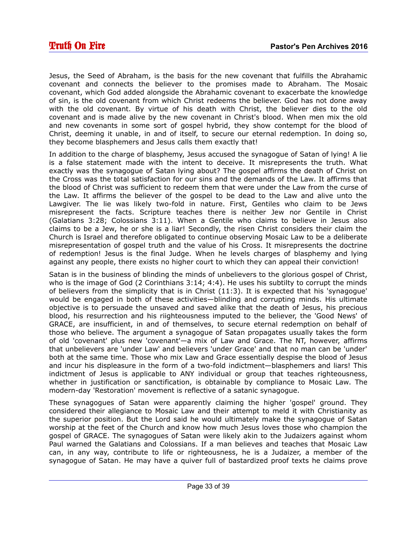Jesus, the Seed of Abraham, is the basis for the new covenant that fulfills the Abrahamic covenant and connects the believer to the promises made to Abraham. The Mosaic covenant, which God added alongside the Abrahamic covenant to exacerbate the knowledge of sin, is the old covenant from which Christ redeems the believer. God has not done away with the old covenant. By virtue of his death with Christ, the believer dies to the old covenant and is made alive by the new covenant in Christ's blood. When men mix the old and new covenants in some sort of gospel hybrid, they show contempt for the blood of Christ, deeming it unable, in and of itself, to secure our eternal redemption. In doing so, they become blasphemers and Jesus calls them exactly that!

In addition to the charge of blasphemy, Jesus accused the synagogue of Satan of lying! A lie is a false statement made with the intent to deceive. It misrepresents the truth. What exactly was the synagogue of Satan lying about? The gospel affirms the death of Christ on the Cross was the total satisfaction for our sins and the demands of the Law. It affirms that the blood of Christ was sufficient to redeem them that were under the Law from the curse of the Law. It affirms the believer of the gospel to be dead to the Law and alive unto the Lawgiver. The lie was likely two-fold in nature. First, Gentiles who claim to be Jews misrepresent the facts. Scripture teaches there is neither Jew nor Gentile in Christ (Galatians 3:28; Colossians 3:11). When a Gentile who claims to believe in Jesus also claims to be a Jew, he or she is a liar! Secondly, the risen Christ considers their claim the Church is Israel and therefore obligated to continue observing Mosaic Law to be a deliberate misrepresentation of gospel truth and the value of his Cross. It misrepresents the doctrine of redemption! Jesus is the final Judge. When he levels charges of blasphemy and lying against any people, there exists no higher court to which they can appeal their conviction!

Satan is in the business of blinding the minds of unbelievers to the glorious gospel of Christ, who is the image of God (2 Corinthians 3:14; 4:4). He uses his subtilty to corrupt the minds of believers from the simplicity that is in Christ (11:3). It is expected that his 'synagogue' would be engaged in both of these activities—blinding and corrupting minds. His ultimate objective is to persuade the unsaved and saved alike that the death of Jesus, his precious blood, his resurrection and his riighteousness imputed to the believer, the 'Good News' of GRACE, are insufficient, in and of themselves, to secure eternal redemption on behalf of those who believe. The argument a synagogue of Satan propagates usually takes the form of old 'covenant' plus new 'covenant'—a mix of Law and Grace. The NT, however, affirms that unbelievers are 'under Law' and believers 'under Grace' and that no man can be 'under' both at the same time. Those who mix Law and Grace essentially despise the blood of Jesus and incur his displeasure in the form of a two-fold indictment—blasphemers and liars! This indictment of Jesus is applicable to ANY individual or group that teaches righteousness, whether in justification or sanctification, is obtainable by compliance to Mosaic Law. The modern-day 'Restoration' movement is reflective of a satanic synagogue.

These synagogues of Satan were apparently claiming the higher 'gospel' ground. They considered their allegiance to Mosaic Law and their attempt to meld it with Christianity as the superior position. But the Lord said he would ultimately make the synagogue of Satan worship at the feet of the Church and know how much Jesus loves those who champion the gospel of GRACE. The synagogues of Satan were likely akin to the Judaizers against whom Paul warned the Galatians and Colossians. If a man believes and teaches that Mosaic Law can, in any way, contribute to life or righteousness, he is a Judaizer, a member of the synagogue of Satan. He may have a quiver full of bastardized proof texts he claims prove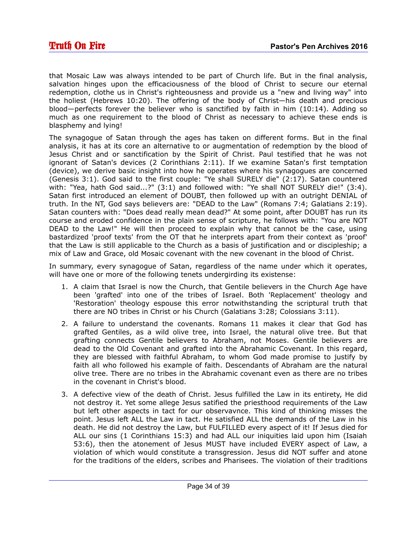that Mosaic Law was always intended to be part of Church life. But in the final analysis, salvation hinges upon the efficaciousness of the blood of Christ to secure our eternal redemption, clothe us in Christ's righteousness and provide us a "new and living way" into the holiest (Hebrews 10:20). The offering of the body of Christ—his death and precious blood—perfects forever the believer who is sanctified by faith in him (10:14). Adding so much as one requirement to the blood of Christ as necessary to achieve these ends is blasphemy and lying!

The synagogue of Satan through the ages has taken on different forms. But in the final analysis, it has at its core an alternative to or augmentation of redemption by the blood of Jesus Christ and or sanctification by the Spirit of Christ. Paul testified that he was not ignorant of Satan's devices (2 Corinthians 2:11). If we examine Satan's first temptation (device), we derive basic insight into how he operates where his synagogues are concerned (Genesis 3:1). God said to the first couple: "Ye shall SURELY die" (2:17). Satan countered with: "Yea, hath God said...?" (3:1) and followed with: "Ye shall NOT SURELY die!" (3:4). Satan first introduced an element of DOUBT, then followed up with an outright DENIAL of truth. In the NT, God says believers are: "DEAD to the Law" (Romans 7:4; Galatians 2:19). Satan counters with: "Does dead really mean dead?" At some point, after DOUBT has run its course and eroded confidence in the plain sense of scripture, he follows with: "You are NOT DEAD to the Law!" He will then proceed to explain why that cannot be the case, using bastardized 'proof texts' from the OT that he interprets apart from their context as 'proof' that the Law is still applicable to the Church as a basis of justification and or discipleship; a mix of Law and Grace, old Mosaic covenant with the new covenant in the blood of Christ.

In summary, every synagogue of Satan, regardless of the name under which it operates, will have one or more of the following tenets undergirding its existense:

- 1. A claim that Israel is now the Church, that Gentile believers in the Church Age have been 'grafted' into one of the tribes of Israel. Both 'Replacement' theology and 'Restoration' theology espouse this error notwithstanding the scriptural truth that there are NO tribes in Christ or his Church (Galatians 3:28; Colossians 3:11).
- 2. A failure to understand the covenants. Romans 11 makes it clear that God has grafted Gentiles, as a wild olive tree, into Israel, the natural olive tree. But that grafting connects Gentile believers to Abraham, not Moses. Gentile believers are dead to the Old Covenant and grafted into the Abrahamic Covenant. In this regard, they are blessed with faithful Abraham, to whom God made promise to justify by faith all who followed his example of faith. Descendants of Abraham are the natural olive tree. There are no tribes in the Abrahamic covenant even as there are no tribes in the covenant in Christ's blood.
- 3. A defective view of the death of Christ. Jesus fulfilled the Law in its entirety, He did not destroy it. Yet some allege Jesus satified the priesthood requirements of the Law but left other aspects in tact for our observavnce. This kind of thinking misses the point. Jesus left ALL the Law in tact. He satisfied ALL the demands of the Law in his death. He did not destroy the Law, but FULFILLED every aspect of it! If Jesus died for ALL our sins (1 Corinthians 15:3) and had ALL our iniquities laid upon him (Isaiah 53:6), then the atonement of Jesus MUST have included EVERY aspect of Law, a violation of which would constitute a transgression. Jesus did NOT suffer and atone for the traditions of the elders, scribes and Pharisees. The violation of their traditions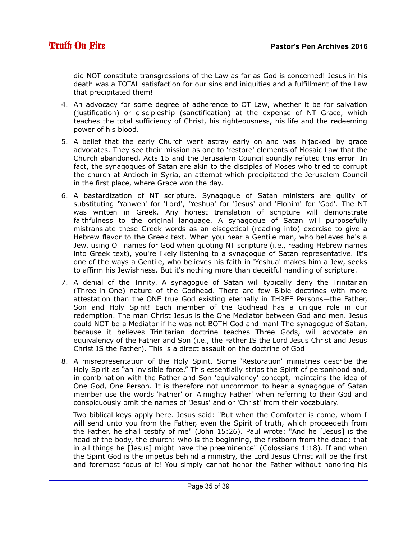did NOT constitute transgressions of the Law as far as God is concerned! Jesus in his death was a TOTAL satisfaction for our sins and iniquities and a fulfillment of the Law that precipitated them!

- 4. An advocacy for some degree of adherence to OT Law, whether it be for salvation (justification) or discipleship (sanctification) at the expense of NT Grace, which teaches the total sufficiency of Christ, his righteousness, his life and the redeeming power of his blood.
- 5. A belief that the early Church went astray early on and was 'hijacked' by grace advocates. They see their mission as one to 'restore' elements of Mosaic Law that the Church abandoned. Acts 15 and the Jerusalem Council soundly refuted this error! In fact, the synagogues of Satan are akin to the disciples of Moses who tried to corrupt the church at Antioch in Syria, an attempt which precipitated the Jerusalem Council in the first place, where Grace won the day.
- 6. A bastardization of NT scripture. Synagogue of Satan ministers are guilty of substituting 'Yahweh' for 'Lord', 'Yeshua' for 'Jesus' and 'Elohim' for 'God'. The NT was written in Greek. Any honest translation of scripture will demonstrate faithfulness to the original language. A synagogue of Satan will purposefully mistranslate these Greek words as an eisegetical (reading into) exercise to give a Hebrew flavor to the Greek text. When you hear a Gentile man, who believes he's a Jew, using OT names for God when quoting NT scripture (i.e., reading Hebrew names into Greek text), you're likely listening to a synagogue of Satan representative. It's one of the ways a Gentile, who believes his faith in 'Yeshua' makes him a Jew, seeks to affirm his Jewishness. But it's nothing more than deceitful handling of scripture.
- 7. A denial of the Trinity. A synagogue of Satan will typically deny the Trinitarian (Three-in-One) nature of the Godhead. There are few Bible doctrines with more attestation than the ONE true God existing eternally in THREE Persons—the Father, Son and Holy Spirit! Each member of the Godhead has a unique role in our redemption. The man Christ Jesus is the One Mediator between God and men. Jesus could NOT be a Mediator if he was not BOTH God and man! The synagogue of Satan, because it believes Trinitarian doctrine teaches Three Gods, will advocate an equivalency of the Father and Son (i.e., the Father IS the Lord Jesus Christ and Jesus Christ IS the Father). This is a direct assault on the doctrine of God!
- 8. A misrepresentation of the Holy Spirit. Some 'Restoration' ministries describe the Holy Spirit as "an invisible force." This essentially strips the Spirit of personhood and, in combination with the Father and Son 'equivalency' concept, maintains the idea of One God, One Person. It is therefore not uncommon to hear a synagogue of Satan member use the words 'Father' or 'Almighty Father' when referring to their God and conspicuously omit the names of 'Jesus' and or 'Christ' from their vocabulary.

Two biblical keys apply here. Jesus said: "But when the Comforter is come, whom I will send unto you from the Father, even the Spirit of truth, which proceedeth from the Father, he shall testify of me" (John 15:26). Paul wrote: "And he [Jesus] is the head of the body, the church: who is the beginning, the firstborn from the dead; that in all things he [Jesus] might have the preeminence" (Colossians 1:18). If and when the Spirit God is the impetus behind a ministry, the Lord Jesus Christ will be the first and foremost focus of it! You simply cannot honor the Father without honoring his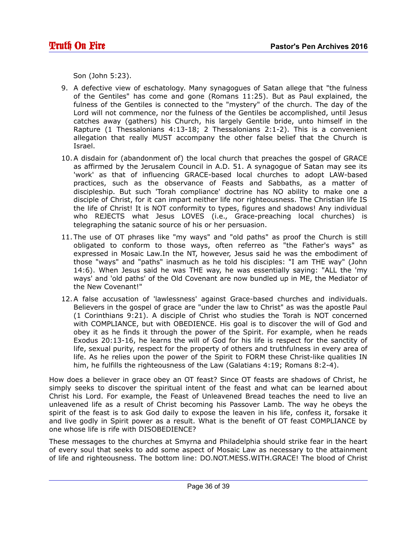Son (John 5:23).

- 9. A defective view of eschatology. Many synagogues of Satan allege that "the fulness of the Gentiles" has come and gone (Romans 11:25). But as Paul explained, the fulness of the Gentiles is connected to the "mystery" of the church. The day of the Lord will not commence, nor the fulness of the Gentiles be accomplished, until Jesus catches away (gathers) his Church, his largely Gentile bride, unto himself in the Rapture (1 Thessalonians 4:13-18; 2 Thessalonians 2:1-2). This is a convenient allegation that really MUST accompany the other false belief that the Church is Israel.
- 10.A disdain for (abandonment of) the local church that preaches the gospel of GRACE as affirmed by the Jerusalem Council in A.D. 51. A synagogue of Satan may see its 'work' as that of influencing GRACE-based local churches to adopt LAW-based practices, such as the observance of Feasts and Sabbaths, as a matter of discipleship. But such 'Torah compliance' doctrine has NO ability to make one a disciple of Christ, for it can impart neither life nor righteousness. The Christian life IS the life of Christ! It is NOT conformity to types, figures and shadows! Any individual who REJECTS what Jesus LOVES (i.e., Grace-preaching local churches) is telegraphing the satanic source of his or her persuasion.
- 11. The use of OT phrases like "my ways" and "old paths" as proof the Church is still obligated to conform to those ways, often referreo as "the Father's ways" as expressed in Mosaic Law.In the NT, however, Jesus said he was the embodiment of those "ways" and "paths" inasmuch as he told his disciples: "I am THE way" (John 14:6). When Jesus said he was THE way, he was essentially saying: "ALL the 'my ways' and 'old paths' of the Old Covenant are now bundled up in ME, the Mediator of the New Covenant!"
- 12.A false accusation of 'lawlessness' against Grace-based churches and individuals. Believers in the gospel of grace are "under the law to Christ" as was the apostle Paul (1 Corinthians 9:21). A disciple of Christ who studies the Torah is NOT concerned with COMPLIANCE, but with OBEDIENCE. His goal is to discover the will of God and obey it as he finds it through the power of the Spirit. For example, when he reads Exodus 20:13-16, he learns the will of God for his life is respect for the sanctity of life, sexual purity, respect for the property of others and truthfulness in every area of life. As he relies upon the power of the Spirit to FORM these Christ-like qualities IN him, he fulfills the righteousness of the Law (Galatians 4:19; Romans 8:2-4).

How does a believer in grace obey an OT feast? Since OT feasts are shadows of Christ, he simply seeks to discover the spiritual intent of the feast and what can be learned about Christ his Lord. For example, the Feast of Unleavened Bread teaches the need to live an unleavened life as a result of Christ becoming his Passover Lamb. The way he obeys the spirit of the feast is to ask God daily to expose the leaven in his life, confess it, forsake it and live godly in Spirit power as a result. What is the benefit of OT feast COMPLIANCE by one whose life is rife with DISOBEDIENCE?

These messages to the churches at Smyrna and Philadelphia should strike fear in the heart of every soul that seeks to add some aspect of Mosaic Law as necessary to the attainment of life and righteousness. The bottom line: DO.NOT.MESS.WITH.GRACE! The blood of Christ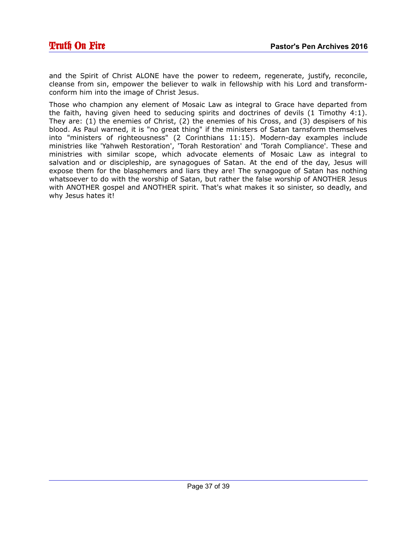and the Spirit of Christ ALONE have the power to redeem, regenerate, justify, reconcile, cleanse from sin, empower the believer to walk in fellowship with his Lord and transformconform him into the image of Christ Jesus.

Those who champion any element of Mosaic Law as integral to Grace have departed from the faith, having given heed to seducing spirits and doctrines of devils (1 Timothy 4:1). They are: (1) the enemies of Christ, (2) the enemies of his Cross, and (3) despisers of his blood. As Paul warned, it is "no great thing" if the ministers of Satan tarnsform themselves into "ministers of righteousness" (2 Corinthians 11:15). Modern-day examples include ministries like 'Yahweh Restoration', 'Torah Restoration' and 'Torah Compliance'. These and ministries with similar scope, which advocate elements of Mosaic Law as integral to salvation and or discipleship, are synagogues of Satan. At the end of the day, Jesus will expose them for the blasphemers and liars they are! The synagogue of Satan has nothing whatsoever to do with the worship of Satan, but rather the false worship of ANOTHER Jesus with ANOTHER gospel and ANOTHER spirit. That's what makes it so sinister, so deadly, and why Jesus hates it!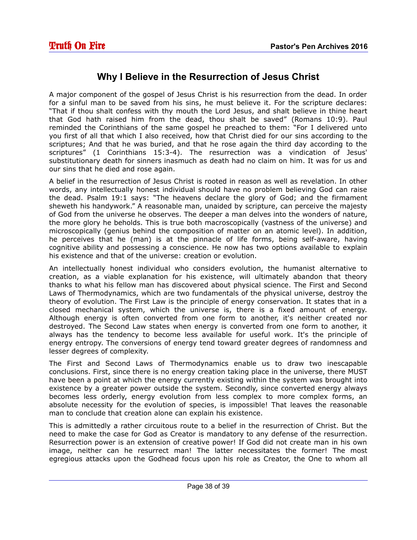## <span id="page-37-0"></span>**Why I Believe in the Resurrection of Jesus Christ**

A major component of the gospel of Jesus Christ is his resurrection from the dead. In order for a sinful man to be saved from his sins, he must believe it. For the scripture declares: "That if thou shalt confess with thy mouth the Lord Jesus, and shalt believe in thine heart that God hath raised him from the dead, thou shalt be saved" (Romans 10:9). Paul reminded the Corinthians of the same gospel he preached to them: "For I delivered unto you first of all that which I also received, how that Christ died for our sins according to the scriptures; And that he was buried, and that he rose again the third day according to the scriptures" (1 Corinthians 15:3-4). The resurrection was a vindication of Jesus' substitutionary death for sinners inasmuch as death had no claim on him. It was for us and our sins that he died and rose again.

A belief in the resurrection of Jesus Christ is rooted in reason as well as revelation. In other words, any intellectually honest individual should have no problem believing God can raise the dead. Psalm 19:1 says: "The heavens declare the glory of God; and the firmament sheweth his handywork." A reasonable man, unaided by scripture, can perceive the majesty of God from the universe he observes. The deeper a man delves into the wonders of nature, the more glory he beholds. This is true both macroscopically (vastness of the universe) and microscopically (genius behind the composition of matter on an atomic level). In addition, he perceives that he (man) is at the pinnacle of life forms, being self-aware, having cognitive ability and possessing a conscience. He now has two options available to explain his existence and that of the universe: creation or evolution.

An intellectually honest individual who considers evolution, the humanist alternative to creation, as a viable explanation for his existence, will ultimately abandon that theory thanks to what his fellow man has discovered about physical science. The First and Second Laws of Thermodynamics, which are two fundamentals of the physical universe, destroy the theory of evolution. The First Law is the principle of energy conservation. It states that in a closed mechanical system, which the universe is, there is a fixed amount of energy. Although energy is often converted from one form to another, it's neither created nor destroyed. The Second Law states when energy is converted from one form to another, it always has the tendency to become less available for useful work. It's the principle of energy entropy. The conversions of energy tend toward greater degrees of randomness and lesser degrees of complexity.

The First and Second Laws of Thermodynamics enable us to draw two inescapable conclusions. First, since there is no energy creation taking place in the universe, there MUST have been a point at which the energy currently existing within the system was brought into existence by a greater power outside the system. Secondly, since converted energy always becomes less orderly, energy evolution from less complex to more complex forms, an absolute necessity for the evolution of species, is impossible! That leaves the reasonable man to conclude that creation alone can explain his existence.

This is admittedly a rather circuitous route to a belief in the resurrection of Christ. But the need to make the case for God as Creator is mandatory to any defense of the resurrection. Resurrection power is an extension of creative power! If God did not create man in his own image, neither can he resurrect man! The latter necessitates the former! The most egregious attacks upon the Godhead focus upon his role as Creator, the One to whom all